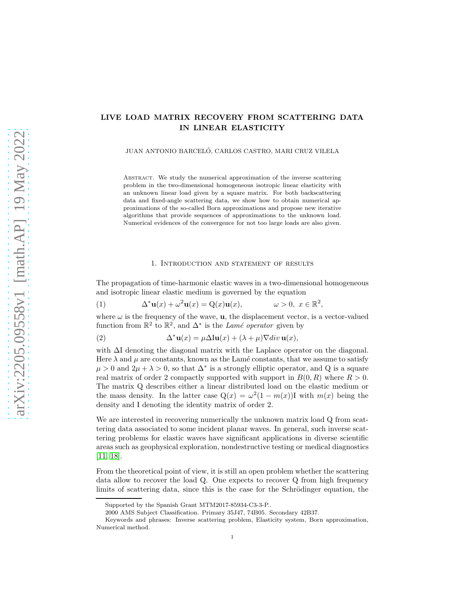# LIVE LOAD MATRIX RECOVERY FROM SCATTERING DATA IN LINEAR ELASTICITY

JUAN ANTONIO BARCELÓ, CARLOS CASTRO, MARI CRUZ VILELA

Abstract. We study the numerical approximation of the inverse scattering problem in the two-dimensional homogeneous isotropic linear elasticity with an unknown linear load given by a square matrix. For both backscattering data and fixed-angle scattering data, we show how to obtain numerical approximations of the so-called Born approximations and propose new iterative algorithms that provide sequences of approximations to the unknown load. Numerical evidences of the convergence for not too large loads are also given.

#### <span id="page-0-0"></span>1. Introduction and statement of results

The propagation of time-harmonic elastic waves in a two-dimensional homogeneous and isotropic linear elastic medium is governed by the equation

(1) 
$$
\Delta^* \mathbf{u}(x) + \omega^2 \mathbf{u}(x) = Q(x) \mathbf{u}(x), \qquad \omega > 0, \ x \in \mathbb{R}^2,
$$

where  $\omega$  is the frequency of the wave, **u**, the displacement vector, is a vector-valued function from  $\mathbb{R}^2$  to  $\mathbb{R}^2$ , and  $\Delta^*$  is the Lamé operator given by

<span id="page-0-1"></span>(2) 
$$
\Delta^* \mathbf{u}(x) = \mu \Delta \mathbf{I} \mathbf{u}(x) + (\lambda + \mu) \nabla \operatorname{div} \mathbf{u}(x),
$$

with ∆I denoting the diagonal matrix with the Laplace operator on the diagonal. Here  $\lambda$  and  $\mu$  are constants, known as the Lamé constants, that we assume to satisfy  $\mu > 0$  and  $2\mu + \lambda > 0$ , so that  $\Delta^*$  is a strongly elliptic operator, and Q is a square real matrix of order 2 compactly supported with support in  $B(0, R)$  where  $R > 0$ . The matrix Q describes either a linear distributed load on the elastic medium or the mass density. In the latter case  $Q(x) = \omega^2(1 - m(x))I$  with  $m(x)$  being the density and I denoting the identity matrix of order 2.

We are interested in recovering numerically the unknown matrix load Q from scattering data associated to some incident planar waves. In general, such inverse scattering problems for elastic waves have significant applications in diverse scientific areas such as geophysical exploration, nondestructive testing or medical diagnostics  $[11, 18]$  $[11, 18]$ .

From the theoretical point of view, it is still an open problem whether the scattering data allow to recover the load Q. One expects to recover Q from high frequency limits of scattering data, since this is the case for the Schrödinger equation, the

Supported by the Spanish Grant MTM2017-85934-C3-3-P..

<sup>2000</sup> AMS Subject Classification. Primary 35J47, 74B05. Secondary 42B37.

Keywords and phrases: Inverse scattering problem, Elasticity system, Born approximation, Numerical method.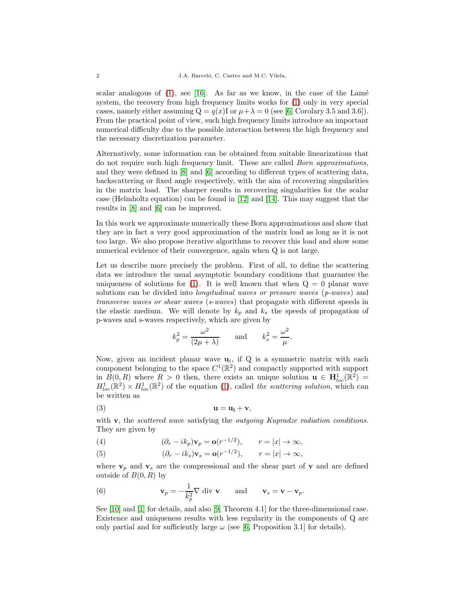scalar analogous of  $(1)$ , see [\[16\]](#page-25-2). As far as we know, in the case of the Lamé system, the recovery from high frequency limits works for [\(1\)](#page-0-0) only in very special cases, namely either assuming  $Q = q(x)I$  or  $\mu + \lambda = 0$  (see [\[6,](#page-25-3) Corolary 3.5 and 3.6]). From the practical point of view, such high frequency limits introduce an important numerical difficulty due to the possible interaction between the high frequency and the necessary discretization parameter.

Alternatively, some information can be obtained from suitable linearizations that do not require such high frequency limit. These are called Born approximations, and they were defined in [\[8\]](#page-25-4) and [\[6\]](#page-25-3) according to different types of scattering data, backscattering or fixed angle respectively, with the aim of recovering singularities in the matrix load. The sharper results in recovering singularities for the scalar case (Helmholtz equation) can be found in [\[12\]](#page-25-5) and [\[14\]](#page-25-6). This may suggest that the results in [\[8\]](#page-25-4) and [\[6\]](#page-25-3) can be improved.

In this work we approximate numerically these Born approximations and show that they are in fact a very good approximation of the matrix load as long as it is not too large. We also propose iterative algorithms to recover this load and show some numerical evidence of their convergence, again when Q is not large.

Let us describe more precisely the problem. First of all, to define the scattering data we introduce the usual asymptotic boundary conditions that guarantee the uniqueness of solutions for [\(1\)](#page-0-0). It is well known that when  $Q = 0$  planar wave solutions can be divided into *longitudinal waves or pressure waves*  $(p\text{-}waves)$  and transverse waves or shear waves (s-waves) that propagate with different speeds in the elastic medium. We will denote by  $k_p$  and  $k_s$  the speeds of propagation of p-waves and s-waves respectively, which are given by

<span id="page-1-0"></span>
$$
k_p^2 = \frac{\omega^2}{(2\mu + \lambda)}
$$
 and  $k_s^2 = \frac{\omega^2}{\mu}$ .

Now, given an incident planar wave  $\mathbf{u}_i$ , if Q is a symmetric matrix with each component belonging to the space  $C^1(\mathbb{R}^2)$  and compactly supported with support in  $B(0, R)$  where  $R > 0$  then, there exists an unique solution  $\mathbf{u} \in \mathbf{H}^1_{loc}(\mathbb{R}^2) =$  $H_{loc}^1(\mathbb{R}^2) \times H_{loc}^1(\mathbb{R}^2)$  of the equation [\(1\)](#page-0-0), called the scattering solution, which can be written as

$$
u = u_i + v,
$$

with  $\bf{v}$ , the *scattered wave* satisfying the *outgoing Kupradze radiation conditions*. They are given by

- <span id="page-1-1"></span>(4)  $\left(\partial_r - ik_p\right)\mathbf{v}_p = \mathbf{o}(r^{-1/2}), \quad r = |x| \to \infty,$
- (5)  $\left(\partial_r ik_s\right)\mathbf{v}_s = \mathbf{o}(r^{-1/2}), \quad r = |x| \to \infty,$

where  $\mathbf{v}_p$  and  $\mathbf{v}_s$  are the compressional and the shear part of **v** and are defined outside of  $B(0, R)$  by

<span id="page-1-2"></span>(6) 
$$
\mathbf{v}_p = -\frac{1}{k_p^2} \nabla \text{ div } \mathbf{v} \quad \text{and} \quad \mathbf{v}_s = \mathbf{v} - \mathbf{v}_p.
$$

See [\[10\]](#page-25-7) and [\[1\]](#page-24-0) for details, and also [\[9,](#page-25-8) Theorem 4.1] for the three-dimensional case. Existence and uniqueness results with less regularity in the components of Q are only partial and for sufficiently large  $\omega$  (see [\[6,](#page-25-3) Proposition 3.1] for details).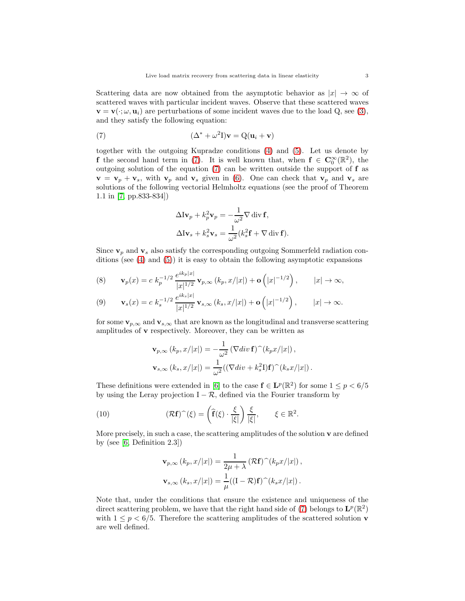Scattering data are now obtained from the asymptotic behavior as  $|x| \to \infty$  of scattered waves with particular incident waves. Observe that these scattered waves  $\mathbf{v} = \mathbf{v}(\cdot;\omega,\mathbf{u}_i)$  are perturbations of some incident waves due to the load Q, see [\(3\)](#page-1-0), and they satisfy the following equation:

(7) 
$$
(\Delta^* + \omega^2 I)\mathbf{v} = Q(\mathbf{u}_i + \mathbf{v})
$$

together with the outgoing Kupradze conditions [\(4\)](#page-1-1) and [\(5\)](#page-1-1). Let us denote by **f** the second hand term in [\(7\)](#page-2-0). It is well known that, when  $f \in C_0^{\infty}(\mathbb{R}^2)$ , the outgoing solution of the equation [\(7\)](#page-2-0) can be written outside the support of f as  $\mathbf{v} = \mathbf{v}_p + \mathbf{v}_s$ , with  $\mathbf{v}_p$  and  $\mathbf{v}_s$  given in [\(6\)](#page-1-2). One can check that  $\mathbf{v}_p$  and  $\mathbf{v}_s$  are solutions of the following vectorial Helmholtz equations (see the proof of Theorem 1.1 in [\[7,](#page-25-9) pp.833-834])

<span id="page-2-0"></span>
$$
\Delta I \mathbf{v}_p + k_p^2 \mathbf{v}_p = -\frac{1}{\omega^2} \nabla \operatorname{div} \mathbf{f},
$$
  

$$
\Delta I \mathbf{v}_s + k_s^2 \mathbf{v}_s = \frac{1}{\omega^2} (k_s^2 \mathbf{f} + \nabla \operatorname{div} \mathbf{f}).
$$

Since  $v_p$  and  $v_s$  also satisfy the corresponding outgoing Sommerfeld radiation conditions (see  $(4)$  and  $(5)$ ) it is easy to obtain the following asymptotic expansions

(8) 
$$
\mathbf{v}_p(x) = c \; k_p^{-1/2} \, \frac{e^{ik_p|x|}}{|x|^{1/2}} \, \mathbf{v}_{p,\infty} \left( k_p, x/|x| \right) + \mathbf{o} \left( |x|^{-1/2} \right), \qquad |x| \to \infty,
$$

(9) 
$$
\mathbf{v}_s(x) = c k_s^{-1/2} \frac{e^{ik_s|x|}}{|x|^{1/2}} \mathbf{v}_{s,\infty} (k_s, x/|x|) + \mathbf{o} (|x|^{-1/2}), \qquad |x| \to \infty.
$$

for some  $\mathbf{v}_{p,\infty}$  and  $\mathbf{v}_{s,\infty}$  that are known as the longitudinal and transverse scattering amplitudes of v respectively. Moreover, they can be written as

$$
\mathbf{v}_{p,\infty}(k_p, x/|x|) = -\frac{1}{\omega^2} (\nabla div \mathbf{f})^{\widehat{ }} (k_p x/|x|) ,
$$
  

$$
\mathbf{v}_{s,\infty}(k_s, x/|x|) = \frac{1}{\omega^2} ((\nabla div + k_s^2 \mathbf{I}) \mathbf{f})^{\widehat{ }} (k_s x/|x|) .
$$

These definitions were extended in [\[6\]](#page-25-3) to the case  $f \in L^p(\mathbb{R}^2)$  for some  $1 \le p < 6/5$ by using the Leray projection  $I - \mathcal{R}$ , defined via the Fourier transform by

(10) 
$$
(\mathcal{R}\mathbf{f})^{\sim}(\xi) = \left(\widehat{\mathbf{f}}(\xi) \cdot \frac{\xi}{|\xi|}\right) \frac{\xi}{|\xi|}, \qquad \xi \in \mathbb{R}^2.
$$

More precisely, in such a case, the scattering amplitudes of the solution  $\bf{v}$  are defined by (see [\[6,](#page-25-3) Definition 2.3])

$$
\mathbf{v}_{p,\infty} (k_p, x/|x|) = \frac{1}{2\mu + \lambda} (\mathcal{R}\mathbf{f})^{\sim} (k_p x/|x|),
$$
  

$$
\mathbf{v}_{s,\infty} (k_s, x/|x|) = \frac{1}{\mu} ((\mathbf{I} - \mathcal{R})\mathbf{f})^{\sim} (k_s x/|x|).
$$

Note that, under the conditions that ensure the existence and uniqueness of the direct scattering problem, we have that the right hand side of [\(7\)](#page-2-0) belongs to  $\mathbf{L}^p(\mathbb{R}^2)$ with  $1 \leq p \leq 6/5$ . Therefore the scattering amplitudes of the scattered solution **v** are well defined.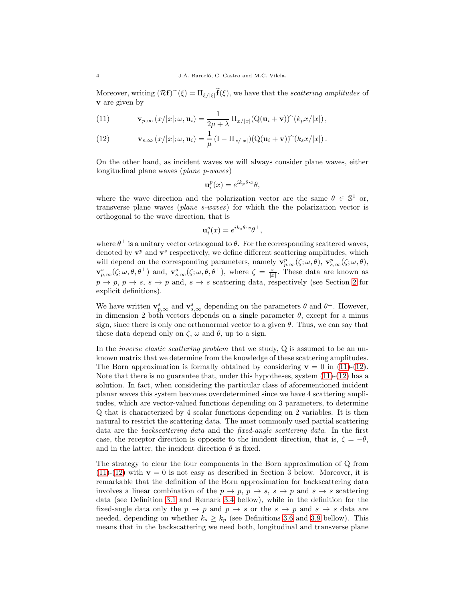Moreover, writing  $(\mathcal{R}f)^{\frown}(\xi) = \Pi_{\xi/|\xi|}f(\xi)$ , we have that the scattering amplitudes of v are given by

<span id="page-3-0"></span>(11) 
$$
\mathbf{v}_{p,\infty}\left(x/|x|;\omega,\mathbf{u}_i\right)=\frac{1}{2\mu+\lambda}\Pi_{x/|x|}(\mathbf{Q}(\mathbf{u}_i+\mathbf{v}))\hat{ }(k_px/|x|),
$$

<span id="page-3-1"></span>(12) 
$$
\mathbf{v}_{s,\infty}(x/|x|;\omega,\mathbf{u}_i) = \frac{1}{\mu}(\mathbf{I} - \Pi_{x/|x|})(\mathbf{Q}(\mathbf{u}_i+\mathbf{v}))\,\hat{\mathbf{c}}(k_s x/|x|).
$$

On the other hand, as incident waves we will always consider plane waves, either longitudinal plane waves (plane p-waves)

$$
\mathbf{u}_i^p(x) = e^{ik_p\theta \cdot x} \theta,
$$

where the wave direction and the polarization vector are the same  $\theta \in \mathbb{S}^1$  or, transverse plane waves (plane s-waves) for which the the polarization vector is orthogonal to the wave direction, that is

$$
\mathbf{u}_i^s(x) = e^{ik_s\theta \cdot x} \theta^\perp,
$$

where  $\theta^{\perp}$  is a unitary vector orthogonal to  $\theta$ . For the corresponding scattered waves, denoted by  $\mathbf{v}^p$  and  $\mathbf{v}^s$  respectively, we define different scattering amplitudes, which will depend on the corresponding parameters, namely  $\mathbf{v}_{p,\infty}^p(\zeta;\omega,\theta)$ ,  $\mathbf{v}_{s,\infty}^p(\zeta;\omega,\theta)$ ,  $\mathbf{v}_{p,\infty}^s(\zeta;\omega,\theta,\theta^\perp)$  and,  $\mathbf{v}_{s,\infty}^s(\zeta;\omega,\theta,\theta^\perp)$ , where  $\zeta = \frac{x}{|x|}$ . These data are known as  $p \to p$ ,  $p \to s$ ,  $s \to p$  and,  $s \to s$  scattering data, respectively (see Section [2](#page-5-0) for explicit definitions).

We have written  $\mathbf{v}_{p,\infty}^s$  and  $\mathbf{v}_{s,\infty}^s$  depending on the parameters  $\theta$  and  $\theta^{\perp}$ . However, in dimension 2 both vectors depends on a single parameter  $\theta$ , except for a minus sign, since there is only one orthonormal vector to a given  $\theta$ . Thus, we can say that these data depend only on  $\zeta$ ,  $\omega$  and  $\theta$ , up to a sign.

In the *inverse elastic scattering problem* that we study, Q is assumed to be an unknown matrix that we determine from the knowledge of these scattering amplitudes. The Born approximation is formally obtained by considering  $\mathbf{v} = 0$  in [\(11\)](#page-3-0)-[\(12\)](#page-3-1). Note that there is no guarantee that, under this hypotheses, system  $(11)-(12)$  $(11)-(12)$  has a solution. In fact, when considering the particular class of aforementioned incident planar waves this system becomes overdetermined since we have 4 scattering amplitudes, which are vector-valued functions depending on 3 parameters, to determine Q that is characterized by 4 scalar functions depending on 2 variables. It is then natural to restrict the scattering data. The most commonly used partial scattering data are the backscattering data and the fixed-angle scattering data. In the first case, the receptor direction is opposite to the incident direction, that is,  $\zeta = -\theta$ , and in the latter, the incident direction  $\theta$  is fixed.

The strategy to clear the four components in the Born approximation of Q from  $(11)-(12)$  $(11)-(12)$  $(11)-(12)$  with  $\mathbf{v}=0$  is not easy as described in Section 3 below. Moreover, it is remarkable that the definition of the Born approximation for backscattering data involves a linear combination of the  $p \to p$ ,  $p \to s$ ,  $s \to p$  and  $s \to s$  scattering data (see Definition [3.1](#page-8-0) and Remark [3.4](#page-8-1) bellow), while in the definition for the fixed-angle data only the  $p \to p$  and  $p \to s$  or the  $s \to p$  and  $s \to s$  data are needed, depending on whether  $k_s \geq k_p$  (see Definitions [3.6](#page-12-0) and [3.9](#page-13-0) bellow). This means that in the backscattering we need both, longitudinal and transverse plane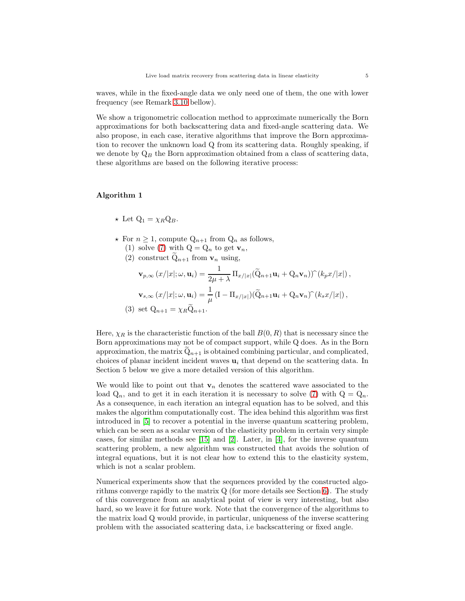waves, while in the fixed-angle data we only need one of them, the one with lower frequency (see Remark [3.10](#page-14-0) bellow).

We show a trigonometric collocation method to approximate numerically the Born approximations for both backscattering data and fixed-angle scattering data. We also propose, in each case, iterative algorithms that improve the Born approximation to recover the unknown load Q from its scattering data. Roughly speaking, if we denote by  $Q_B$  the Born approximation obtained from a class of scattering data, these algorithms are based on the following iterative process:

# Algorithm 1

- $\star$  Let  $Q_1 = \chi_B Q_B$ .
- $\star$  For  $n \geq 1$ , compute  $Q_{n+1}$  from  $Q_n$  as follows, (1) solve [\(7\)](#page-2-0) with  $Q = Q_n$  to get  $\mathbf{v}_n$ ,
	- (2) construct  $Q_{n+1}$  from  $v_n$  using,

$$
\mathbf{v}_{p,\infty}(x/|x|;\omega,\mathbf{u}_i) = \frac{1}{2\mu + \lambda} \Pi_{x/|x|}(\widetilde{Q}_{n+1}\mathbf{u}_i + Q_n \mathbf{v}_n) \widehat{\ } (k_p x/|x|),
$$

$$
\mathbf{v}_{s,\infty}(x/|x|;\omega,\mathbf{u}_i) = \frac{1}{\mu} (I - \Pi_{x/|x|}) (\widetilde{Q}_{n+1}\mathbf{u}_i + Q_n \mathbf{v}_n) \widehat{\ } (k_s x/|x|),
$$

$$
(3) \text{ set } Q_{n+1} = \chi_R \widetilde{Q}_{n+1}.
$$

Here,  $\chi_R$  is the characteristic function of the ball  $B(0, R)$  that is necessary since the Born approximations may not be of compact support, while Q does. As in the Born approximation, the matrix  $Q_{n+1}$  is obtained combining particular, and complicated, choices of planar incident incident waves  $\mathbf{u}_i$  that depend on the scattering data. In Section 5 below we give a more detailed version of this algorithm.

We would like to point out that  $v_n$  denotes the scattered wave associated to the load  $Q_n$ , and to get it in each iteration it is necessary to solve [\(7\)](#page-2-0) with  $Q = Q_n$ . As a consequence, in each iteration an integral equation has to be solved, and this makes the algorithm computationally cost. The idea behind this algorithm was first introduced in [\[5\]](#page-25-10) to recover a potential in the inverse quantum scattering problem, which can be seen as a scalar version of the elasticity problem in certain very simple cases, for similar methods see [\[15\]](#page-25-11) and [\[2\]](#page-24-1). Later, in [\[4\]](#page-24-2), for the inverse quantum scattering problem, a new algorithm was constructed that avoids the solution of integral equations, but it is not clear how to extend this to the elasticity system, which is not a scalar problem.

Numerical experiments show that the sequences provided by the constructed algorithms converge rapidly to the matrix  $Q$  (for more details see Section [6\)](#page-20-0). The study of this convergence from an analytical point of view is very interesting, but also hard, so we leave it for future work. Note that the convergence of the algorithms to the matrix load Q would provide, in particular, uniqueness of the inverse scattering problem with the associated scattering data, i.e backscattering or fixed angle.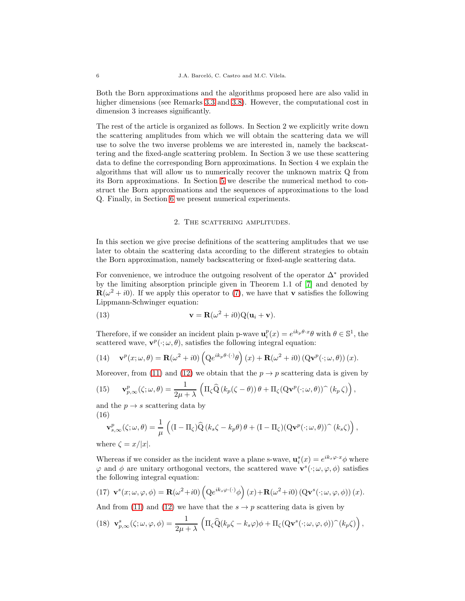Both the Born approximations and the algorithms proposed here are also valid in higher dimensions (see Remarks [3.3](#page-8-2) and [3.8\)](#page-12-1). However, the computational cost in dimension 3 increases significantly.

The rest of the article is organized as follows. In Section 2 we explicitly write down the scattering amplitudes from which we will obtain the scattering data we will use to solve the two inverse problems we are interested in, namely the backscattering and the fixed-angle scattering problem. In Section 3 we use these scattering data to define the corresponding Born approximations. In Section 4 we explain the algorithms that will allow us to numerically recover the unknown matrix Q from its Born approximations. In Section [5](#page-17-0) we describe the numerical method to construct the Born approximations and the sequences of approximations to the load Q. Finally, in Section [6](#page-20-0) we present numerical experiments.

## 2. THE SCATTERING AMPLITUDES.

<span id="page-5-0"></span>In this section we give precise definitions of the scattering amplitudes that we use later to obtain the scattering data according to the different strategies to obtain the Born approximation, namely backscattering or fixed-angle scattering data.

For convenience, we introduce the outgoing resolvent of the operator  $\Delta^*$  provided by the limiting absorption principle given in Theorem 1.1 of [\[7\]](#page-25-9) and denoted by  $\mathbf{R}(\omega^2 + i0)$ . If we apply this operator to [\(7\)](#page-2-0), we have that **v** satisfies the following Lippmann-Schwinger equation:

(13) 
$$
\mathbf{v} = \mathbf{R}(\omega^2 + i0)Q(\mathbf{u}_i + \mathbf{v}).
$$

Therefore, if we consider an incident plain p-wave  $\mathbf{u}_i^p(x) = e^{ik_p\theta \cdot x} \theta$  with  $\theta \in \mathbb{S}^1$ , the scattered wave,  $\mathbf{v}^p(\cdot;\omega,\theta)$ , satisfies the following integral equation:

(14) 
$$
\mathbf{v}^p(x;\omega,\theta) = \mathbf{R}(\omega^2 + i0) \left( Q e^{ik_p\theta \cdot (\cdot)} \theta \right)(x) + \mathbf{R}(\omega^2 + i0) \left( Q \mathbf{v}^p(\cdot;\omega,\theta) \right)(x).
$$

Moreover, from [\(11\)](#page-3-0) and [\(12\)](#page-3-1) we obtain that the  $p \to p$  scattering data is given by

<span id="page-5-1"></span>(15) 
$$
\mathbf{v}_{p,\infty}^p(\zeta;\omega,\theta) = \frac{1}{2\mu + \lambda} \left( \Pi_{\zeta} \widehat{\mathbf{Q}} \left( k_p(\zeta - \theta) \right) \theta + \Pi_{\zeta} (\mathbf{Q} \mathbf{v}^p(\cdot;\omega,\theta)) \widehat{\ } (k_p \zeta) \right),
$$

and the  $p \rightarrow s$  scattering data by (16)

<span id="page-5-2"></span>
$$
\mathbf{v}_{s,\infty}^p(\zeta;\omega,\theta) = \frac{1}{\mu} \left( (\mathbf{I} - \Pi_{\zeta}) \widehat{\mathbf{Q}} \left( k_s \zeta - k_p \theta \right) \theta + (\mathbf{I} - \Pi_{\zeta}) (\mathbf{Q} \mathbf{v}^p(\cdot;\omega,\theta)) \widehat{\mathbf{Q}} \left( k_s \zeta \right) \right),
$$

where  $\zeta = x/|x|$ .

Whereas if we consider as the incident wave a plane s-wave,  $\mathbf{u}_i^s(x) = e^{ik_s\varphi \cdot x} \phi$  where  $\varphi$  and  $\phi$  are unitary orthogonal vectors, the scattered wave  $\mathbf{v}^s(\cdot;\omega,\varphi,\phi)$  satisfies the following integral equation:

(17) 
$$
\mathbf{v}^{s}(x; \omega, \varphi, \phi) = \mathbf{R}(\omega^{2} + i0) \left( Q e^{ik_{s}\varphi \cdot (\cdot)} \phi \right) (x) + \mathbf{R}(\omega^{2} + i0) \left( Q \mathbf{v}^{s}(\cdot; \omega, \varphi, \phi) \right) (x).
$$

And from [\(11\)](#page-3-0) and [\(12\)](#page-3-1) we have that the  $s \to p$  scattering data is given by

<span id="page-5-3"></span>
$$
(18) \mathbf{v}_{p,\infty}^s(\zeta;\omega,\varphi,\phi) = \frac{1}{2\mu+\lambda} \left( \Pi_{\zeta} \widehat{\mathbf{Q}}(k_p \zeta - k_s \varphi) \phi + \Pi_{\zeta} (\mathbf{Q} \mathbf{v}^s(\cdot;\omega,\varphi,\phi))^{\widehat{\ }} (k_p \zeta) \right),
$$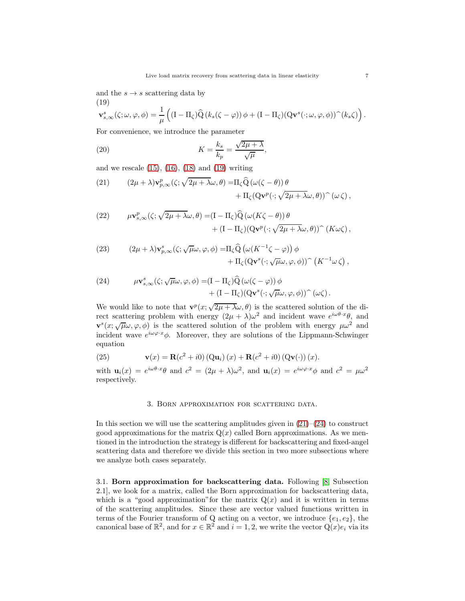and the  $s \to s$  scattering data by (19)

<span id="page-6-0"></span>
$$
\mathbf{v}_{s,\infty}^s(\zeta;\omega,\varphi,\phi) = \frac{1}{\mu} \left( (\mathbf{I} - \Pi_{\zeta}) \widehat{\mathbf{Q}} \left( k_s(\zeta - \varphi) \right) \phi + (\mathbf{I} - \Pi_{\zeta}) (\mathbf{Q} \mathbf{v}^s(\cdot;\omega,\varphi,\phi)) \widehat{\phantom{\alpha}}(k_s \zeta) \right).
$$

For convenience, we introduce the parameter

(20) 
$$
K = \frac{k_s}{k_p} = \frac{\sqrt{2\mu + \lambda}}{\sqrt{\mu}},
$$

and we rescale  $(15)$ ,  $(16)$ ,  $(18)$  and  $(19)$  writing

<span id="page-6-1"></span>(21) 
$$
(2\mu + \lambda)\mathbf{v}_{p,\infty}^p(\zeta;\sqrt{2\mu + \lambda}\omega,\theta) = \Pi_{\zeta}\widehat{Q}(\omega(\zeta - \theta))\theta + \Pi_{\zeta}(\mathbf{Q}\mathbf{v}^p(\cdot;\sqrt{2\mu + \lambda}\omega,\theta))^{\frown}(\omega\zeta),
$$

(22) 
$$
\mu \mathbf{v}_{s,\infty}^p(\zeta; \sqrt{2\mu + \lambda} \omega, \theta) = (\mathbf{I} - \Pi_{\zeta}) \widehat{\mathbf{Q}} \left( \omega (K\zeta - \theta) \right) \theta + (\mathbf{I} - \Pi_{\zeta}) (\mathbf{Q} \mathbf{v}^p (\cdot; \sqrt{2\mu + \lambda} \omega, \theta)) \widehat{\ } (K\omega \zeta),
$$

(23) 
$$
(2\mu + \lambda)\mathbf{v}_{p,\infty}^s(\zeta;\sqrt{\mu}\omega,\varphi,\phi) = \Pi_{\zeta}\widehat{Q}\left(\omega(K^{-1}\zeta - \varphi)\right)\phi + \Pi_{\zeta}(Q\mathbf{v}^s(\cdot;\sqrt{\mu}\omega,\varphi,\phi))\widehat{\phantom{\alpha}}(K^{-1}\omega\zeta),
$$

<span id="page-6-2"></span>(24) 
$$
\mu \mathbf{v}_{s,\infty}^s(\zeta; \sqrt{\mu}\omega, \varphi, \phi) = (\mathbf{I} - \Pi_{\zeta})\widehat{\mathbf{Q}}(\omega(\zeta - \varphi))\phi + (\mathbf{I} - \Pi_{\zeta})(\mathbf{Q}\mathbf{v}^s(\cdot; \sqrt{\mu}\omega, \varphi, \phi))\widehat{\ }(\omega\zeta).
$$

We would like to note that  $\mathbf{v}^p(x; \sqrt{2\mu + \lambda} \omega, \theta)$  is the scattered solution of the direct scattering problem with energy  $(2\mu + \lambda)\omega^2$  and incident wave  $e^{i\omega\theta \cdot x}\theta$ , and  $\mathbf{v}^{s}(x;\sqrt{\mu}\omega,\varphi,\phi)$  is the scattered solution of the problem with energy  $\mu\omega^{2}$  and incident wave  $e^{i\omega\varphi\cdot x}\phi$ . Moreover, they are solutions of the Lippmann-Schwinger equation

(25) 
$$
\mathbf{v}(x) = \mathbf{R}(c^2 + i0) (\mathbf{Q}\mathbf{u}_i)(x) + \mathbf{R}(c^2 + i0) (\mathbf{Q}\mathbf{v}(\cdot))(x).
$$

with  $\mathbf{u}_i(x) = e^{i\omega\theta \cdot x} \theta$  and  $c^2 = (2\mu + \lambda)\omega^2$ , and  $\mathbf{u}_i(x) = e^{i\omega\varphi \cdot x} \phi$  and  $c^2 = \mu\omega^2$ respectively.

### <span id="page-6-3"></span>3. Born approximation for scattering data.

In this section we will use the scattering amplitudes given in  $(21)–(24)$  $(21)–(24)$  to construct good approximations for the matrix  $Q(x)$  called Born approximations. As we mentioned in the introduction the strategy is different for backscattering and fixed-angel scattering data and therefore we divide this section in two more subsections where we analyze both cases separately.

3.1. Born approximation for backscattering data. Following [\[8,](#page-25-4) Subsection 2.1], we look for a matrix, called the Born approximation for backscattering data, which is a "good approximation" for the matrix  $Q(x)$  and it is written in terms of the scattering amplitudes. Since these are vector valued functions written in terms of the Fourier transform of Q acting on a vector, we introduce  $\{e_1, e_2\}$ , the canonical base of  $\mathbb{R}^2$ , and for  $x \in \mathbb{R}^2$  and  $i = 1, 2$ , we write the vector  $Q(x)e_i$  via its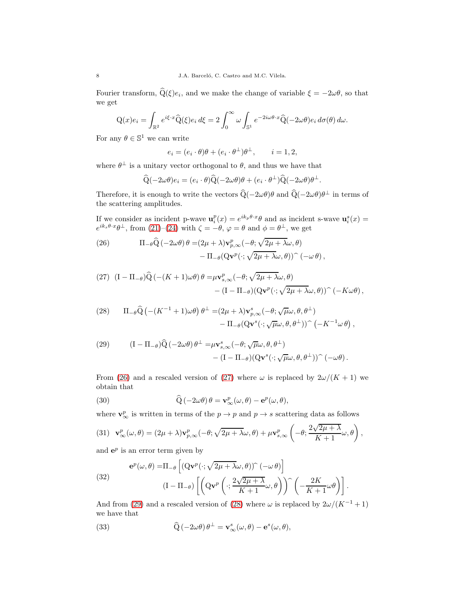Fourier transform,  $Q(\xi)e_i$ , and we make the change of variable  $\xi = -2\omega\theta$ , so that we get

$$
Q(x)e_i = \int_{\mathbb{R}^2} e^{i\xi \cdot x} \widehat{Q}(\xi)e_i d\xi = 2 \int_0^\infty \omega \int_{\mathbb{S}^1} e^{-2i\omega\theta \cdot x} \widehat{Q}(-2\omega\theta)e_i d\sigma(\theta) d\omega.
$$

For any  $\theta \in \mathbb{S}^1$  we can write

$$
e_i = (e_i \cdot \theta)\theta + (e_i \cdot \theta^{\perp})\theta^{\perp}, \qquad i = 1, 2,
$$

where  $\theta^{\perp}$  is a unitary vector orthogonal to  $\theta$ , and thus we have that

$$
\widehat{Q}(-2\omega\theta)e_i = (e_i \cdot \theta)\widehat{Q}(-2\omega\theta)\theta + (e_i \cdot \theta^{\perp})\widehat{Q}(-2\omega\theta)\theta^{\perp}.
$$

Therefore, it is enough to write the vectors  $Q(-2\omega\theta)\theta$  and  $Q(-2\omega\theta)\theta^{\perp}$  in terms of the scattering amplitudes.

If we consider as incident p-wave  $\mathbf{u}_i^p(x) = e^{ik_p\theta \cdot x} \theta$  and as incident s-wave  $\mathbf{u}_i^s(x) =$  $e^{ik_s\theta \cdot x}\theta^{\perp}$ , from [\(21\)](#page-6-1)–[\(24\)](#page-6-2) with  $\zeta = -\theta$ ,  $\varphi = \theta$  and  $\phi = \theta^{\perp}$ , we get

<span id="page-7-0"></span>(26) 
$$
\Pi_{-\theta}\widehat{Q}(-2\omega\theta)\theta = (2\mu + \lambda)\mathbf{v}_{p,\infty}^p(-\theta;\sqrt{2\mu + \lambda}\omega,\theta) - \Pi_{-\theta}(\mathbf{Q}\mathbf{v}^p(\cdot;\sqrt{2\mu + \lambda}\omega,\theta))^{\frown}(-\omega\theta),
$$

<span id="page-7-1"></span>(27) 
$$
(I - \Pi_{-\theta})\widehat{Q}(-(K+1)\omega\theta)\theta = \mu \mathbf{v}_{s,\infty}^p(-\theta; \sqrt{2\mu + \lambda}\omega, \theta) - (I - \Pi_{-\theta})(Q\mathbf{v}^p(\cdot; \sqrt{2\mu + \lambda}\omega, \theta))^{\hat{}}(-K\omega\theta),
$$

<span id="page-7-3"></span>(28) 
$$
\Pi_{-\theta}\widehat{Q}\left(-(K^{-1}+1)\omega\theta\right)\theta^{\perp} = (2\mu + \lambda)\mathbf{v}_{p,\infty}^{s}(-\theta;\sqrt{\mu}\omega,\theta,\theta^{\perp}) - \Pi_{-\theta}(Q\mathbf{v}^{s}(\cdot;\sqrt{\mu}\omega,\theta,\theta^{\perp}))^{\sim}(-K^{-1}\omega\theta),
$$

<span id="page-7-2"></span>(29) 
$$
(I - \Pi_{-\theta})\widehat{Q}(-2\omega\theta)\theta^{\perp} = \mu \mathbf{v}_{s,\infty}^{s}(-\theta; \sqrt{\mu}\omega, \theta, \theta^{\perp}) - (I - \Pi_{-\theta})(Q\mathbf{v}^{s}(\cdot; \sqrt{\mu}\omega, \theta, \theta^{\perp}))^{\sim}(-\omega\theta).
$$

From [\(26\)](#page-7-0) and a rescaled version of [\(27\)](#page-7-1) where  $\omega$  is replaced by  $2\omega/(K+1)$  we obtain that

<span id="page-7-4"></span>(30) 
$$
\widehat{Q}(-2\omega\theta)\theta = \mathbf{v}^p_{\infty}(\omega,\theta) - \mathbf{e}^p(\omega,\theta),
$$

where  $\mathbf{v}_{\infty}^p$  is written in terms of the  $p \to p$  and  $p \to s$  scattering data as follows

<span id="page-7-7"></span>(31) 
$$
\mathbf{v}^p_{\infty}(\omega,\theta)=(2\mu+\lambda)\mathbf{v}^p_{p,\infty}(-\theta;\sqrt{2\mu+\lambda}\omega,\theta)+\mu\mathbf{v}^p_{s,\infty}\left(-\theta;\frac{2\sqrt{2\mu+\lambda}}{K+1}\omega,\theta\right),
$$

and  $e^p$  is an error term given by

<span id="page-7-6"></span>(32) 
$$
\mathbf{e}^{p}(\omega,\theta) = \Pi_{-\theta} \left[ (\mathbf{Q}\mathbf{v}^{p}(\cdot;\sqrt{2\mu + \lambda}\omega,\theta))^{\sim} (-\omega \theta) \right] \n(1 - \Pi_{-\theta}) \left[ \left( \mathbf{Q}\mathbf{v}^{p} \left( \cdot; \frac{2\sqrt{2\mu + \lambda}}{K+1} \omega, \theta \right) \right)^{\sim} \left( -\frac{2K}{K+1} \omega \theta \right) \right].
$$

And from [\(29\)](#page-7-2) and a rescaled version of [\(28\)](#page-7-3) where  $\omega$  is replaced by  $2\omega/(K^{-1}+1)$ we have that

<span id="page-7-5"></span>(33) 
$$
\widehat{Q}(-2\omega\theta)\,\theta^{\perp} = \mathbf{v}^s_{\infty}(\omega,\theta) - \mathbf{e}^s(\omega,\theta),
$$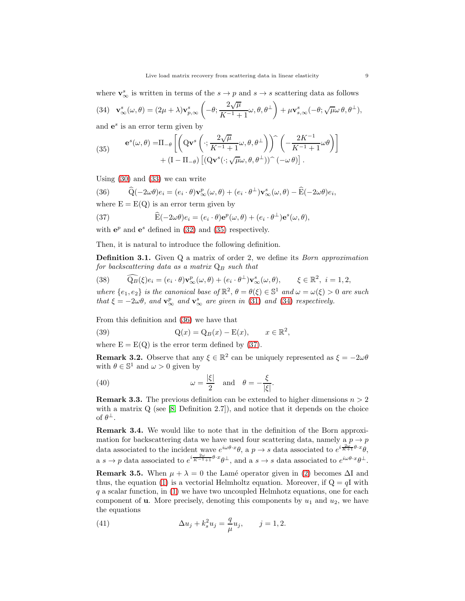where  $\mathbf{v}_{\infty}^s$  is written in terms of the  $s \to p$  and  $s \to s$  scattering data as follows

<span id="page-8-4"></span>(34) 
$$
\mathbf{v}_{\infty}^{s}(\omega,\theta) = (2\mu + \lambda)\mathbf{v}_{p,\infty}^{s} \left(-\theta; \frac{2\sqrt{\mu}}{K^{-1}+1}\omega, \theta, \theta^{\perp}\right) + \mu \mathbf{v}_{s,\infty}^{s}(-\theta; \sqrt{\mu}\omega \theta, \theta^{\perp}),
$$
  
and  $\mathbf{v}_{\infty}^{s}$  is an error term given by

and  $e^s$  is an error term given by

<span id="page-8-3"></span>(35) 
$$
\mathbf{e}^{s}(\omega,\theta) = \Pi_{-\theta} \left[ \left( \mathbf{Q} \mathbf{v}^{s} \left( \cdot; \frac{2\sqrt{\mu}}{K^{-1} + 1} \omega, \theta, \theta^{\perp} \right) \right) \left( -\frac{2K^{-1}}{K^{-1} + 1} \omega \theta \right) \right] + (I - \Pi_{-\theta}) \left[ (\mathbf{Q} \mathbf{v}^{s} (\cdot; \sqrt{\mu} \omega, \theta, \theta^{\perp})) \right] (-\omega \theta) \right].
$$

Using [\(30\)](#page-7-4) and [\(33\)](#page-7-5) we can write

<span id="page-8-5"></span>(36) 
$$
\widehat{Q}(-2\omega\theta)e_i = (e_i \cdot \theta)\mathbf{v}_{\infty}^p(\omega,\theta) + (e_i \cdot \theta^{\perp})\mathbf{v}_{\infty}^s(\omega,\theta) - \widehat{E}(-2\omega\theta)e_i,
$$

where  $E = E(Q)$  is an error term given by

<span id="page-8-6"></span>(37) 
$$
\widehat{\mathbf{E}}(-2\omega\theta)e_i = (e_i \cdot \theta)\mathbf{e}^p(\omega,\theta) + (e_i \cdot \theta^\perp)\mathbf{e}^s(\omega,\theta),
$$

with  $e^p$  and  $e^s$  defined in [\(32\)](#page-7-6) and [\(35\)](#page-8-3) respectively.

Then, it is natural to introduce the following definition.

<span id="page-8-0"></span>**Definition 3.1.** Given Q a matrix of order 2, we define its *Born approximation* for backscattering data as a matrix  $Q_B$  such that

<span id="page-8-8"></span>(38) 
$$
\widehat{\mathbf{Q}_B}(\xi)e_i = (e_i \cdot \theta)\mathbf{v}_\infty^p(\omega,\theta) + (e_i \cdot \theta^\perp)\mathbf{v}_\infty^s(\omega,\theta), \qquad \xi \in \mathbb{R}^2, \ i = 1, 2,
$$

where  $\{e_1, e_2\}$  is the canonical base of  $\mathbb{R}^2$ ,  $\theta = \theta(\xi) \in \mathbb{S}^1$  and  $\omega = \omega(\xi) > 0$  are such that  $\xi = -2\omega\theta$ , and  $\mathbf{v}_{\infty}^p$  and  $\mathbf{v}_{\infty}^s$  are given in [\(31\)](#page-7-7) and [\(34\)](#page-8-4) respectively.

From this definition and [\(36\)](#page-8-5) we have that

<span id="page-8-7"></span>(39) 
$$
Q(x) = Q_B(x) - E(x), \qquad x \in \mathbb{R}^2,
$$

where  $E = E(Q)$  is the error term defined by [\(37\)](#page-8-6).

<span id="page-8-10"></span>**Remark 3.2.** Observe that any  $\xi \in \mathbb{R}^2$  can be uniquely represented as  $\xi = -2\omega\theta$ with  $\theta \in \mathbb{S}^1$  and  $\omega > 0$  given by

<span id="page-8-9"></span>(40) 
$$
\omega = \frac{|\xi|}{2} \quad \text{and} \quad \theta = -\frac{\xi}{|\xi|}.
$$

<span id="page-8-2"></span>**Remark 3.3.** The previous definition can be extended to higher dimensions  $n > 2$ with a matrix  $Q$  (see [\[8,](#page-25-4) Definition 2.7]), and notice that it depends on the choice of  $\theta^{\perp}$ .

<span id="page-8-1"></span>Remark 3.4. We would like to note that in the definition of the Born approximation for backscattering data we have used four scattering data, namely a  $p \rightarrow p$ data associated to the incident wave  $e^{i\omega\theta\cdot x}\theta$ , a  $p \to s$  data associated to  $e^{i\frac{2\omega}{K+1}\theta\cdot x}\theta$ , a  $s \to p$  data associated to  $e^{i\frac{2\omega}{K^{-1}+1}\theta \cdot x}\theta^{\perp}$ , and a  $s \to s$  data associated to  $e^{i\omega\theta \cdot x}\theta^{\perp}$ .

**Remark 3.5.** When  $\mu + \lambda = 0$  the Lamé operator given in [\(2\)](#page-0-1) becomes  $\Delta I$  and thus, the equation [\(1\)](#page-0-0) is a vectorial Helmholtz equation. Moreover, if  $Q = qI$  with  $q$  a scalar function, in  $(1)$  we have two uncoupled Helmhotz equations, one for each component of **u**. More precisely, denoting this components by  $u_1$  and  $u_2$ , we have the equations

(41) 
$$
\Delta u_j + k_s^2 u_j = \frac{q}{\mu} u_j, \qquad j = 1, 2.
$$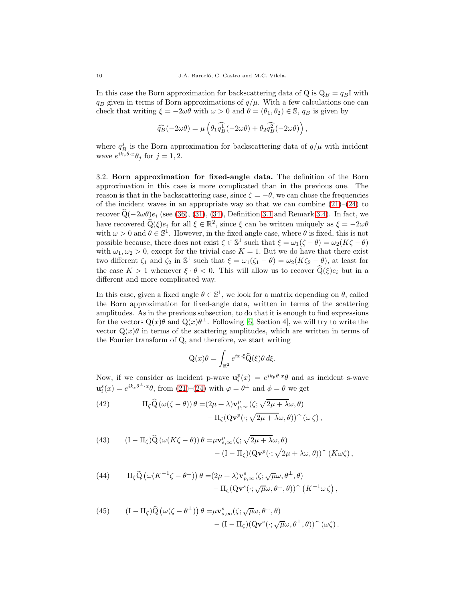In this case the Born approximation for backscattering data of Q is  $Q_B = q_B I$  with  $q_B$  given in terms of Born approximations of  $q/\mu$ . With a few calculations one can check that writing  $\xi = -2\omega\theta$  with  $\omega > 0$  and  $\theta = (\theta_1, \theta_2) \in \mathbb{S}$ ,  $q_B$  is given by

$$
\widehat{q_B}(-2\omega\theta)=\mu\left(\theta_1\widehat{q_B^1}(-2\omega\theta)+\theta_2\widehat{q_B^2}(-2\omega\theta)\right),
$$

where  $q_{B_{\perp}}^{j}$  is the Born approximation for backscattering data of  $q/\mu$  with incident wave  $e^{ik_s\theta \cdot x}\theta_j$  for  $j = 1, 2$ .

3.2. Born approximation for fixed-angle data. The definition of the Born approximation in this case is more complicated than in the previous one. The reason is that in the backscattering case, since  $\zeta = -\theta$ , we can chose the frequencies of the incident waves in an appropriate way so that we can combine  $(21)-(24)$  $(21)-(24)$  to recover  $\widehat{Q}(-2\omega\theta)e_i$  (see [\(36\)](#page-8-5), [\(31\)](#page-7-7), [\(34\)](#page-8-4), Definition [3.1](#page-8-0) and Remark [3.4\)](#page-8-1). In fact, we have recovered  $\widehat{Q}(\xi)e_i$  for all  $\xi \in \mathbb{R}^2$ , since  $\xi$  can be written uniquely as  $\xi = -2\omega\theta$ with  $\omega > 0$  and  $\theta \in \mathbb{S}^1$ . However, in the fixed angle case, where  $\theta$  is fixed, this is not possible because, there does not exist  $\zeta \in \mathbb{S}^1$  such that  $\xi = \omega_1(\zeta - \theta) = \omega_2(K\zeta - \theta)$ with  $\omega_1, \omega_2 > 0$ , except for the trivial case  $K = 1$ . But we do have that there exist two different  $\zeta_1$  and  $\zeta_2$  in  $\mathbb{S}^1$  such that  $\xi = \omega_1(\zeta_1 - \theta) = \omega_2(K\zeta_2 - \theta)$ , at least for the case  $K > 1$  whenever  $\xi \cdot \theta < 0$ . This will allow us to recover  $\widehat{Q}(\xi)e_i$  but in a different and more complicated way.

In this case, given a fixed angle  $\theta \in \mathbb{S}^1$ , we look for a matrix depending on  $\theta$ , called the Born approximation for fixed-angle data, written in terms of the scattering amplitudes. As in the previous subsection, to do that it is enough to find expressions for the vectors  $Q(x)\theta$  and  $Q(x)\theta^{\perp}$ . Following [\[6,](#page-25-3) Section 4], we will try to write the vector  $Q(x)\theta$  in terms of the scattering amplitudes, which are written in terms of the Fourier transform of Q, and therefore, we start writing

$$
Q(x)\theta = \int_{\mathbb{R}^2} e^{ix\cdot\xi} \widehat{Q}(\xi)\theta \,d\xi.
$$

Now, if we consider as incident p-wave  $\mathbf{u}_i^p(x) = e^{ik_p\theta \cdot x} \theta$  and as incident s-wave  $\mathbf{u}_{i}^{s}(x) = e^{ik_{s}\theta^{\perp}\cdot x}\theta$ , from [\(21\)](#page-6-1)–[\(24\)](#page-6-2) with  $\varphi = \theta^{\perp}$  and  $\phi = \theta$  we get

<span id="page-9-0"></span>(42) 
$$
\Pi_{\zeta} \widehat{Q} (\omega(\zeta - \theta)) \theta = (2\mu + \lambda) \mathbf{v}_{p,\infty}^p(\zeta; \sqrt{2\mu + \lambda} \omega, \theta) - \Pi_{\zeta} (Q \mathbf{v}^p(\cdot; \sqrt{2\mu + \lambda} \omega, \theta)) ^\frown (\omega \zeta),
$$

<span id="page-9-1"></span>(43) 
$$
(I - \Pi_{\zeta})\widehat{Q}(\omega(K\zeta - \theta))\theta = \mu v_{s,\infty}^p(\zeta; \sqrt{2\mu + \lambda}\omega, \theta) - (I - \Pi_{\zeta})(Qv^p(\cdot; \sqrt{2\mu + \lambda}\omega, \theta))^{\sim} (K\omega\zeta),
$$

<span id="page-9-2"></span>(44) 
$$
\Pi_{\zeta} \widehat{Q} \left( \omega(K^{-1}\zeta - \theta^{\perp}) \right) \theta = (2\mu + \lambda) \mathbf{v}_{p,\infty}^{s}(\zeta; \sqrt{\mu}\omega, \theta^{\perp}, \theta) - \Pi_{\zeta} (Q\mathbf{v}^{s}(\cdot; \sqrt{\mu}\omega, \theta^{\perp}, \theta)) \widehat{R} \left( K^{-1}\omega \zeta \right),
$$

<span id="page-9-3"></span>(45) 
$$
(I - \Pi_{\zeta})\widehat{Q}(\omega(\zeta - \theta^{\perp})) \theta = \mu \mathbf{v}_{s,\infty}^{s}(\zeta; \sqrt{\mu}\omega, \theta^{\perp}, \theta) - (I - \Pi_{\zeta})(Q\mathbf{v}^{s}(\cdot; \sqrt{\mu}\omega, \theta^{\perp}, \theta))^{\sim} (\omega \zeta).
$$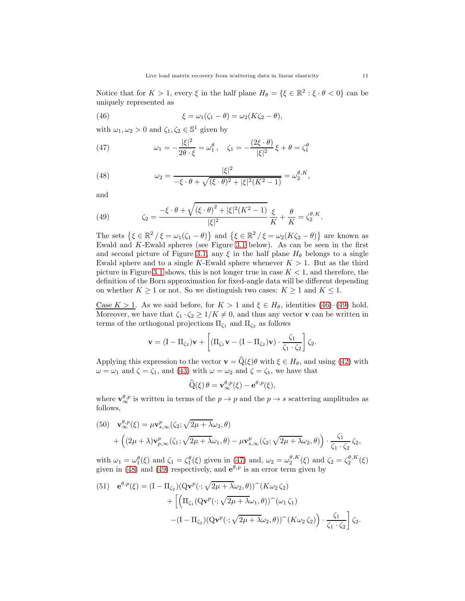Notice that for  $K > 1$ , every  $\xi$  in the half plane  $H_{\theta} = \{\xi \in \mathbb{R}^2 : \xi \cdot \theta < 0\}$  can be uniquely represented as

<span id="page-10-0"></span>(46) 
$$
\xi = \omega_1(\zeta_1 - \theta) = \omega_2(K\zeta_2 - \theta),
$$

with  $\omega_1, \omega_2 > 0$  and  $\zeta_1, \zeta_2 \in \mathbb{S}^1$  given by

<span id="page-10-2"></span>(47) 
$$
\omega_1 = -\frac{|\xi|^2}{2\theta \cdot \xi} = \omega_1^{\theta}, \quad \zeta_1 = -\frac{(2\xi \cdot \theta)}{|\xi|^2} \xi + \theta = \zeta_1^{\theta}
$$

<span id="page-10-3"></span>(48) 
$$
\omega_2 = \frac{|\xi|^2}{-\xi \cdot \theta + \sqrt{(\xi \cdot \theta)^2 + |\xi|^2 (K^2 - 1)}} = \omega_2^{\theta, K},
$$

and

<span id="page-10-1"></span>(49) 
$$
\zeta_2 = \frac{-\xi \cdot \theta + \sqrt{(\xi \cdot \theta)^2 + |\xi|^2 (K^2 - 1)}}{|\xi|^2} \frac{\xi}{K} + \frac{\theta}{K} = \zeta_2^{\theta, K}.
$$

The sets  $\{\xi \in \mathbb{R}^2 / \xi = \omega_1(\zeta_1 - \theta)\}$  and  $\{\xi \in \mathbb{R}^2 / \xi = \omega_2(K\zeta_2 - \theta)\}$  are known as Ewald and K-Ewald spheres (see Figure [3.1](#page-11-0) below). As can be seen in the first and second picture of Figure [3.1,](#page-11-0) any  $\xi$  in the half plane  $H_{\theta}$  belongs to a single Ewald sphere and to a single K-Ewald sphere whenever  $K > 1$ . But as the third picture in Figure [3.1](#page-11-0) shows, this is not longer true in case  $K < 1$ , and therefore, the definition of the Born approximation for fixed-angle data will be different depending on whether  $K \geq 1$  or not. So we distinguish two cases:  $K \geq 1$  and  $K \leq 1$ .

Case  $K > 1$ . As we said before, for  $K > 1$  and  $\xi \in H_{\theta}$ , identities [\(46\)](#page-10-0)–[\(49\)](#page-10-1) hold. Moreover, we have that  $\zeta_1 \cdot \zeta_2 \geq 1/K \neq 0$ , and thus any vector **v** can be written in terms of the orthogonal projections  $\Pi_{\zeta_1}$  and  $\Pi_{\zeta_2}$  as follows

$$
\mathbf{v} = (I - \Pi_{\zeta_2})\mathbf{v} + \left[ (\Pi_{\zeta_1}\mathbf{v} - (I - \Pi_{\zeta_2})\mathbf{v}) \cdot \frac{\zeta_1}{\zeta_1 \cdot \zeta_2} \right] \zeta_2.
$$

Applying this expression to the vector  $\mathbf{v} = \widehat{Q}(\xi)\theta$  with  $\xi \in H_{\theta}$ , and using [\(42\)](#page-9-0) with  $\omega = \omega_1$  and  $\zeta = \zeta_1$ , and [\(43\)](#page-9-1) with  $\omega = \omega_2$  and  $\zeta = \zeta_1$ , we have that

$$
\widehat{Q}(\xi)\,\theta = \mathbf{v}^{\theta,p}_{\infty}(\xi) - \mathbf{e}^{\theta,p}(\xi),
$$

where  $\mathbf{v}^{\theta,p}_{\infty}$  is written in terms of the  $p \to p$  and the  $p \to s$  scattering amplitudes as follows,

<span id="page-10-4"></span>(50) 
$$
\mathbf{v}^{\theta,p}_{\infty}(\xi) = \mu \mathbf{v}^p_{s,\infty}(\zeta_2; \sqrt{2\mu + \lambda} \omega_2, \theta)
$$

$$
+ ((2\mu + \lambda)\mathbf{v}^p_{p,\infty}(\zeta_1; \sqrt{2\mu + \lambda} \omega_1, \theta) - \mu \mathbf{v}^p_{s,\infty}(\zeta_2; \sqrt{2\mu + \lambda} \omega_2, \theta)) \cdot \frac{\zeta_1}{\zeta_1 \cdot \zeta_2} \zeta_2,
$$

with  $\omega_1 = \omega_1^{\theta}(\xi)$  and  $\zeta_1 = \zeta_1^{\theta}(\xi)$  given in [\(47\)](#page-10-2) and,  $\omega_2 = \omega_2^{\theta,K}(\xi)$  and  $\zeta_2 = \zeta_2^{\theta,K}(\xi)$ given in [\(48\)](#page-10-3) and [\(49\)](#page-10-1) respectively, and  $e^{\theta,p}$  is an error term given by

<span id="page-10-5"></span>(51) 
$$
\mathbf{e}^{\theta,p}(\xi) = (\mathbf{I} - \Pi_{\zeta_2})(\mathbf{Q}\mathbf{v}^p(\cdot;\sqrt{2\mu + \lambda}\omega_2,\theta))^{\widehat{\ }}(K\omega_2\zeta_2) + \left[ \left( \Pi_{\zeta_1}(\mathbf{Q}\mathbf{v}^p(\cdot;\sqrt{2\mu + \lambda}\omega_1,\theta))^{\widehat{\ }}(\omega_1\zeta_1) - (\mathbf{I} - \Pi_{\zeta_2})(\mathbf{Q}\mathbf{v}^p(\cdot;\sqrt{2\mu + \lambda}\omega_2,\theta))^{\widehat{\ }}(K\omega_2\zeta_2) \right) \cdot \frac{\zeta_1}{\zeta_1 \cdot \zeta_2} \right] \zeta_2.
$$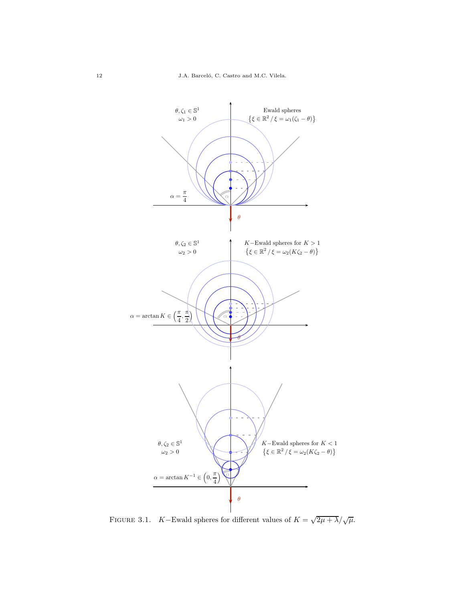

<span id="page-11-0"></span>FIGURE 3.1. K–Ewald spheres for different values of  $K = \sqrt{2\mu + \lambda}/\sqrt{\mu}$ .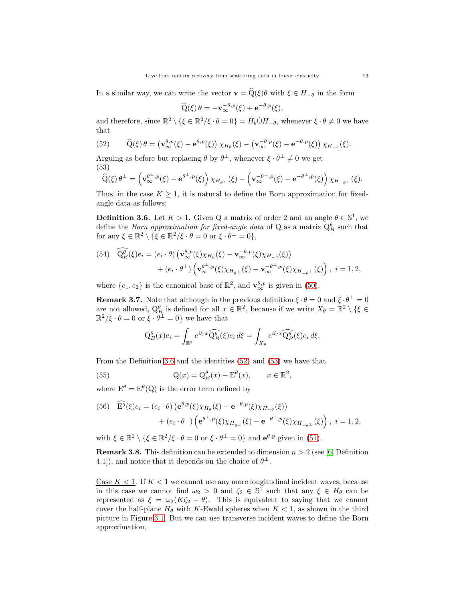In a similar way, we can write the vector  $\mathbf{v} = \widehat{Q}(\xi)\theta$  with  $\xi \in H_{-\theta}$  in the form

$$
\widehat{Q}(\xi)\,\theta = -\mathbf{v}_{\infty}^{-\theta,p}(\xi) + e^{-\theta,p}(\xi),
$$

and therefore, since  $\mathbb{R}^2 \setminus {\{\xi \in \mathbb{R}^2/\xi \cdot \theta = 0\}} = H_{\theta} \dot{\cup} H_{-\theta}$ , whenever  $\xi \cdot \theta \neq 0$  we have that

<span id="page-12-2"></span>(52) 
$$
\widehat{Q}(\xi)\theta = \left(\mathbf{v}^{\theta,p}_{\infty}(\xi) - \mathbf{e}^{\theta,p}(\xi)\right)\chi_{H_{\theta}}(\xi) - \left(\mathbf{v}^{-\theta,p}_{\infty}(\xi) - \mathbf{e}^{-\theta,p}(\xi)\right)\chi_{H_{-\theta}}(\xi).
$$

Arguing as before but replacing  $\theta$  by  $\theta^{\perp}$ , whenever  $\xi \cdot \theta^{\perp} \neq 0$  we get (53)

<span id="page-12-3"></span>
$$
\widehat{\mathbf{Q}}(\xi)\,\theta^\perp = \left(\mathbf{v}_\infty^{\theta^\perp,p}(\xi) - \mathbf{e}^{\theta^\perp,p}(\xi)\right)\chi_{H_{\theta^\perp}}(\xi) - \left(\mathbf{v}_\infty^{-\theta^\perp,p}(\xi) - \mathbf{e}^{-\theta^\perp,p}(\xi)\right)\chi_{H_{-\theta^\perp}}(\xi).
$$

Thus, in the case  $K \geq 1$ , it is natural to define the Born approximation for fixedangle data as follows:

<span id="page-12-0"></span>**Definition 3.6.** Let  $K > 1$ . Given Q a matrix of order 2 and an angle  $\theta \in \mathbb{S}^1$ , we define the *Born approximation for fixed-angle data* of Q as a matrix  $Q_B^{\theta}$  such that for any  $\xi \in \mathbb{R}^2 \setminus \{ \xi \in \mathbb{R}^2 / \xi \cdot \theta = 0 \text{ or } \xi \cdot \theta^{\perp} = 0 \},\$ 

(54) 
$$
\begin{aligned} Q_B^{\theta}(\xi)e_i &= (e_i \cdot \theta) \left( \mathbf{v}_{\infty}^{\theta,p}(\xi) \chi_{H_{\theta}}(\xi) - \mathbf{v}_{\infty}^{-\theta,p}(\xi) \chi_{H_{-\theta}}(\xi) \right) \\ &+ (e_i \cdot \theta^{\perp}) \left( \mathbf{v}_{\infty}^{\theta^{\perp},p}(\xi) \chi_{H_{\theta^{\perp}}}(\xi) - \mathbf{v}_{\infty}^{-\theta^{\perp},p}(\xi) \chi_{H_{-\theta^{\perp}}}(\xi) \right), \ i = 1, 2, \end{aligned}
$$

where  $\{e_1, e_2\}$  is the canonical base of  $\mathbb{R}^2$ , and  $\mathbf{v}_{\infty}^{\theta, p}$  is given in [\(50\)](#page-10-4).

<span id="page-12-4"></span>**Remark 3.7.** Note that although in the previous definition  $\xi \cdot \theta = 0$  and  $\xi \cdot \theta^{\perp} = 0$ are not allowed,  $Q_{\beta_1}^{\theta}$  is defined for all  $x \in \mathbb{R}^2$ , because if we write  $X_{\theta} = \mathbb{R}^2 \setminus \{\xi \in \mathbb{R}^2 : |\xi| \leq \pi \}$  $\mathbb{R}^2/\xi \cdot \theta = 0$  or  $\xi \cdot \bar{\theta}^{\perp} = 0$  we have that

<span id="page-12-5"></span>
$$
Q_B^{\theta}(x)e_i = \int_{\mathbb{R}^2} e^{i\xi \cdot x} \widehat{Q_B^{\theta}}(\xi)e_i d\xi = \int_{X_{\theta}} e^{i\xi \cdot x} \widehat{Q_B^{\theta}}(\xi)e_i d\xi.
$$

From the Definition [3.6](#page-12-0) and the identities [\(52\)](#page-12-2) and [\(53\)](#page-12-3) we have that

(55) 
$$
Q(x) = Q_B^{\theta}(x) - E^{\theta}(x), \qquad x \in \mathbb{R}^2,
$$

where  $E^{\theta} = E^{\theta}(Q)$  is the error term defined by

<span id="page-12-6"></span>(56) 
$$
\widehat{\mathbf{E}^{\theta}}(\xi)e_i = (e_i \cdot \theta) \left(\mathbf{e}^{\theta, p}(\xi)\chi_{H_{\theta}}(\xi) - \mathbf{e}^{-\theta, p}(\xi)\chi_{H_{-\theta}}(\xi)\right) + (e_i \cdot \theta^{\perp}) \left(\mathbf{e}^{\theta^{\perp}, p}(\xi)\chi_{H_{\theta^{\perp}}}(\xi) - \mathbf{e}^{-\theta^{\perp}, p}(\xi)\chi_{H_{-\theta^{\perp}}}(\xi)\right), \ i = 1, 2,
$$

with  $\xi \in \mathbb{R}^2 \setminus \{ \xi \in \mathbb{R}^2 / \xi \cdot \theta = 0 \text{ or } \xi \cdot \theta^{\perp} = 0 \}$  and  $\mathbf{e}^{\theta, p}$  given in [\(51\)](#page-10-5).

<span id="page-12-1"></span>**Remark 3.8.** This definition can be extended to dimension  $n > 2$  (see [\[6,](#page-25-3) Definition 4.1]), and notice that it depends on the choice of  $\theta^{\perp}$ .

Case  $K < 1$ . If  $K < 1$  we cannot use any more longitudinal incident waves, because in this case we cannot find  $\omega_2 > 0$  and  $\zeta_2 \in \mathbb{S}^1$  such that any  $\xi \in H_\theta$  can be represented as  $\xi = \omega_2(K\zeta_2 - \theta)$ . This is equivalent to saying that we cannot cover the half-plane  $H_{\theta}$  with K-Ewald spheres when  $K < 1$ , as shown in the third picture in Figure [3.1.](#page-11-0) But we can use transverse incident waves to define the Born approximation.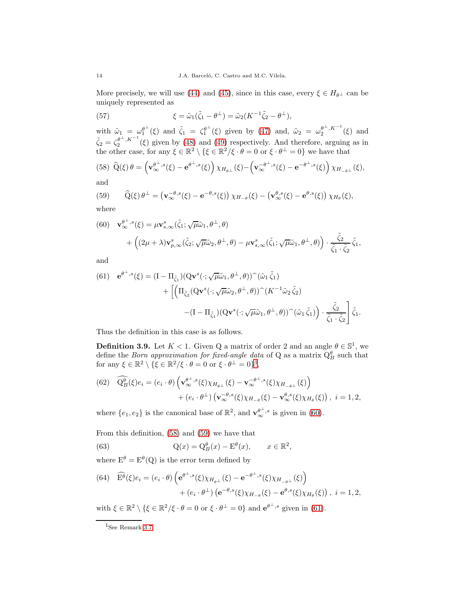More precisely, we will use [\(44\)](#page-9-2) and [\(45\)](#page-9-3), since in this case, every  $\xi \in H_{\theta^{\perp}}$  can be uniquely represented as

(57) 
$$
\xi = \tilde{\omega}_1(\tilde{\zeta}_1 - \theta^{\perp}) = \tilde{\omega}_2(K^{-1}\tilde{\zeta}_2 - \theta^{\perp}),
$$

with  $\tilde{\omega}_1 = \omega_1^{\theta^{\perp}}$  $\frac{\theta^{\perp}}{1}(\xi)$  and  $\tilde{\zeta}_1 = \zeta_1^{\theta^{\perp}}$  $\int_1^{\theta^{\perp}}(\xi)$  given by [\(47\)](#page-10-2) and,  $\tilde{\omega}_2 = \omega_2^{\theta^{\perp}, K^{-1}}(\xi)$  and  $\tilde{\zeta}_2 = \zeta_2^{\theta^{\perp}, K^{-1}}(\xi)$  given by [\(48\)](#page-10-3) and [\(49\)](#page-10-1) respectively. And therefore, arguing as in the other case, for any  $\xi \in \mathbb{R}^2 \setminus \{ \xi \in \mathbb{R}^2 / \xi \cdot \theta = 0 \text{ or } \xi \cdot \theta^{\perp} = 0 \}$  we have that

<span id="page-13-3"></span>(58) 
$$
\widehat{Q}(\xi)\theta = \left(\mathbf{v}_{\infty}^{\theta^{\perp},s}(\xi) - \mathbf{e}^{\theta^{\perp},s}(\xi)\right)\chi_{H_{\theta^{\perp}}}(\xi) - \left(\mathbf{v}_{\infty}^{-\theta^{\perp},s}(\xi) - \mathbf{e}^{-\theta^{\perp},s}(\xi)\right)\chi_{H_{-\theta^{\perp}}}(\xi),
$$

and

<span id="page-13-4"></span>(59) 
$$
\widehat{Q}(\xi) \theta^{\perp} = (\mathbf{v}_{\infty}^{-\theta,s}(\xi) - e^{-\theta,s}(\xi)) \chi_{H_{-\theta}}(\xi) - (\mathbf{v}_{\infty}^{\theta,s}(\xi) - e^{\theta,s}(\xi)) \chi_{H_{\theta}}(\xi),
$$
where

where

<span id="page-13-2"></span>(60) 
$$
\mathbf{v}_{\infty}^{\theta^{\perp},s}(\xi) = \mu \mathbf{v}_{s,\infty}^{s}(\tilde{\zeta}_{1}; \sqrt{\mu}\tilde{\omega}_{1}, \theta^{\perp}, \theta) + ((2\mu + \lambda)\mathbf{v}_{p,\infty}^{s}(\tilde{\zeta}_{2}; \sqrt{\mu}\tilde{\omega}_{2}, \theta^{\perp}, \theta) - \mu \mathbf{v}_{s,\infty}^{s}(\tilde{\zeta}_{1}; \sqrt{\mu}\tilde{\omega}_{1}, \theta^{\perp}, \theta)) \cdot \frac{\tilde{\zeta}_{2}}{\tilde{\zeta}_{1} \cdot \tilde{\zeta}_{2}} \tilde{\zeta}_{1},
$$

and

<span id="page-13-5"></span>(61) 
$$
\mathbf{e}^{\theta^{\perp},s}(\xi) = (\mathbf{I} - \Pi_{\tilde{\zeta}_1})(\mathbf{Q}\mathbf{v}^s(\cdot;\sqrt{\mu}\tilde{\omega}_1,\theta^{\perp},\theta))^{\widehat{\zeta}}(\tilde{\omega}_1\tilde{\zeta}_1) + \left[ \left( \Pi_{\tilde{\zeta}_2}(\mathbf{Q}\mathbf{v}^s(\cdot;\sqrt{\mu}\tilde{\omega}_2,\theta^{\perp},\theta))^{\widehat{\zeta}}(K^{-1}\tilde{\omega}_2\tilde{\zeta}_2) - (\mathbf{I} - \Pi_{\tilde{\zeta}_1})(\mathbf{Q}\mathbf{v}^s(\cdot;\sqrt{\mu}\tilde{\omega}_1,\theta^{\perp},\theta))^{\widehat{\zeta}}(\tilde{\omega}_1\tilde{\zeta}_1) \right) \cdot \frac{\tilde{\zeta}_2}{\tilde{\zeta}_1 \cdot \tilde{\zeta}_2} \right] \tilde{\zeta}_1.
$$

Thus the definition in this case is as follows.

<span id="page-13-0"></span>**Definition 3.9.** Let  $K < 1$ . Given Q a matrix of order 2 and an angle  $\theta \in \mathbb{S}^1$ , we define the *Born approximation for fixed-angle data* of Q as a matrix  $Q_B^{\theta}$  such that for any  $\xi \in \mathbb{R}^2 \setminus \{ \xi \in \mathbb{R}^2 / \xi \cdot \theta = 0 \text{ or } \xi \cdot \theta^{\perp} = 0 \}^1$  $\xi \in \mathbb{R}^2 \setminus \{ \xi \in \mathbb{R}^2 / \xi \cdot \theta = 0 \text{ or } \xi \cdot \theta^{\perp} = 0 \}^1$ ,

(62) 
$$
\widehat{Q_B^{\theta}}(\xi)e_i = (e_i \cdot \theta) \left( \mathbf{v}_{\infty}^{\theta^{\perp},s}(\xi) \chi_{H_{\theta^{\perp}}}(\xi) - \mathbf{v}_{\infty}^{-\theta^{\perp},s}(\xi) \chi_{H_{-\theta^{\perp}}}(\xi) \right) + (e_i \cdot \theta^{\perp}) \left( \mathbf{v}_{\infty}^{-\theta,s}(\xi) \chi_{H_{-\theta}}(\xi) - \mathbf{v}_{\infty}^{\theta,s}(\xi) \chi_{H_{\theta}}(\xi) \right), i = 1, 2,
$$

where  $\{e_1, e_2\}$  is the canonical base of  $\mathbb{R}^2$ , and  $\mathbf{v}_{\infty}^{\theta^{\perp},s}$  is given in [\(60\)](#page-13-2).

From this definition, [\(58\)](#page-13-3) and [\(59\)](#page-13-4) we have that

<span id="page-13-6"></span>(63) 
$$
Q(x) = Q_B^{\theta}(x) - E^{\theta}(x), \qquad x \in \mathbb{R}^2,
$$

where  $E^{\theta} = E^{\theta}(Q)$  is the error term defined by

<span id="page-13-7"></span>(64) 
$$
\widehat{\mathbf{E}^{\theta}}(\xi)e_i = (e_i \cdot \theta) \left( \mathbf{e}^{\theta^{\perp},s}(\xi) \chi_{H_{\theta^{\perp}}}(\xi) - \mathbf{e}^{-\theta^{\perp},s}(\xi) \chi_{H_{-\theta^{\perp}}}(\xi) \right) + (e_i \cdot \theta^{\perp}) \left( \mathbf{e}^{-\theta,s}(\xi) \chi_{H_{-\theta}}(\xi) - \mathbf{e}^{\theta,s}(\xi) \chi_{H_{\theta}}(\xi) \right), i = 1, 2,
$$

with  $\xi \in \mathbb{R}^2 \setminus \{ \xi \in \mathbb{R}^2 / \xi \cdot \theta = 0 \text{ or } \xi \cdot \theta^{\perp} = 0 \}$  and  $\mathbf{e}^{\theta^{\perp},s}$  given in [\(61\)](#page-13-5).

<span id="page-13-1"></span><sup>&</sup>lt;sup>1</sup>See Remark [3.7.](#page-12-4)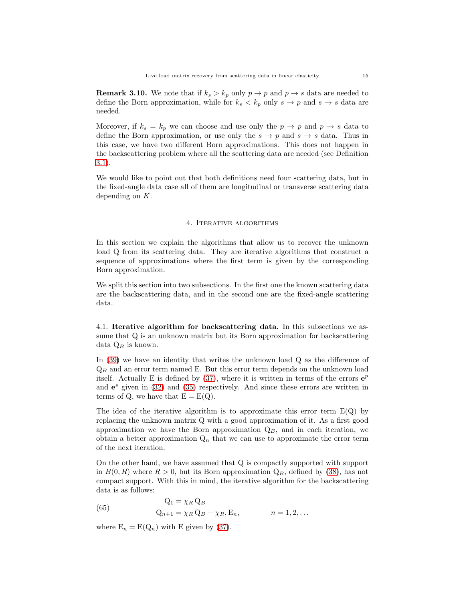<span id="page-14-0"></span>**Remark 3.10.** We note that if  $k_s > k_p$  only  $p \to p$  and  $p \to s$  data are needed to define the Born approximation, while for  $k_s < k_p$  only  $s \to p$  and  $s \to s$  data are needed.

Moreover, if  $k_s = k_p$  we can choose and use only the  $p \to p$  and  $p \to s$  data to define the Born approximation, or use only the  $s \to p$  and  $s \to s$  data. Thus in this case, we have two different Born approximations. This does not happen in the backscattering problem where all the scattering data are needed (see Definition [3.1\)](#page-8-0).

<span id="page-14-2"></span>We would like to point out that both definitions need four scattering data, but in the fixed-angle data case all of them are longitudinal or transverse scattering data depending on K.

#### 4. Iterative algorithms

In this section we explain the algorithms that allow us to recover the unknown load Q from its scattering data. They are iterative algorithms that construct a sequence of approximations where the first term is given by the corresponding Born approximation.

We split this section into two subsections. In the first one the known scattering data are the backscattering data, and in the second one are the fixed-angle scattering data.

4.1. Iterative algorithm for backscattering data. In this subsections we assume that Q is an unknown matrix but its Born approximation for backscattering data  $Q_B$  is known.

In [\(39\)](#page-8-7) we have an identity that writes the unknown load Q as the difference of  $Q_B$  and an error term named E. But this error term depends on the unknown load itself. Actually E is defined by  $(37)$ , where it is written in terms of the errors  $e^p$ and  $e^s$  given in [\(32\)](#page-7-6) and [\(35\)](#page-8-3) respectively. And since these errors are written in terms of Q, we have that  $E = E(Q)$ .

The idea of the iterative algorithm is to approximate this error term  $E(Q)$  by replacing the unknown matrix Q with a good approximation of it. As a first good approximation we have the Born approximation  $Q_B$ , and in each iteration, we obtain a better approximation  $Q_n$  that we can use to approximate the error term of the next iteration.

On the other hand, we have assumed that Q is compactly supported with support in  $B(0, R)$  where  $R > 0$ , but its Born approximation  $Q_B$ , defined by [\(38\)](#page-8-8), has not compact support. With this in mind, the iterative algorithm for the backscattering data is as follows:

<span id="page-14-1"></span>(65) 
$$
Q_1 = \chi_R Q_B
$$

$$
Q_{n+1} = \chi_R Q_B - \chi_R, E_n, \qquad n = 1, 2, ...
$$

where  $E_n = E(Q_n)$  with E given by [\(37\)](#page-8-6).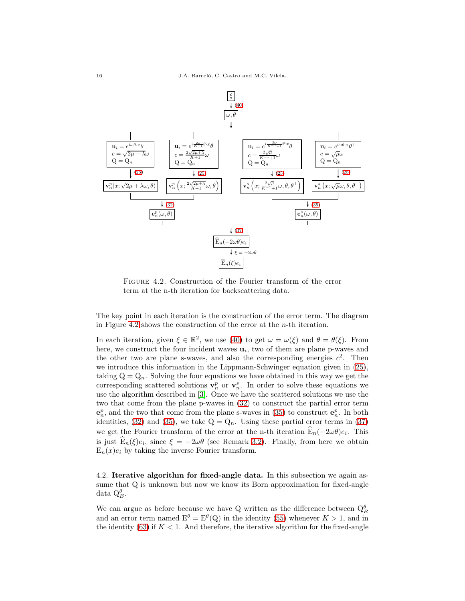

<span id="page-15-0"></span>Figure 4.2. Construction of the Fourier transform of the error term at the n-th iteration for backscattering data.

The key point in each iteration is the construction of the error term. The diagram in Figure [4.2](#page-15-0) shows the construction of the error at the n-th iteration.

In each iteration, given  $\xi \in \mathbb{R}^2$ , we use [\(40\)](#page-8-9) to get  $\omega = \omega(\xi)$  and  $\theta = \theta(\xi)$ . From here, we construct the four incident waves  $\mathbf{u}_i$ , two of them are plane p-waves and the other two are plane s-waves, and also the corresponding energies  $c^2$ . Then we introduce this information in the Lippmann-Schwinger equation given in [\(25\)](#page-6-3), taking  $Q = Q_n$ . Solving the four equations we have obtained in this way we get the corresponding scattered solutions  $\mathbf{v}_n^p$  or  $\mathbf{v}_n^s$ . In order to solve these equations we use the algorithm described in [\[3\]](#page-24-3). Once we have the scattered solutions we use the two that come from the plane p-waves in [\(32\)](#page-7-6) to construct the partial error term  $\mathbf{e}_n^p$ , and the two that come from the plane s-waves in [\(35\)](#page-8-3) to construct  $\mathbf{e}_n^p$ . In both identities, [\(32\)](#page-7-6) and [\(35\)](#page-8-3), we take  $Q = Q_n$ . Using these partial error terms in [\(37\)](#page-8-6) we get the Fourier transform of the error at the n-th iteration  $E_n(-2\omega\theta)e_i$ . This is just  $E_n(\xi)e_i$ , since  $\xi = -2\omega\theta$  (see Remark [3.2\)](#page-8-10). Finally, from here we obtain  $E_n(x)e_i$  by taking the inverse Fourier transform.

4.2. Iterative algorithm for fixed-angle data. In this subsection we again assume that Q is unknown but now we know its Born approximation for fixed-angle data  $Q_B^{\theta}$ .

We can argue as before because we have Q written as the difference between  $Q_B^{\theta}$ and an error term named  $E^{\theta} = E^{\theta}(Q)$  in the identity [\(55\)](#page-12-5) whenever  $K > 1$ , and in the identity  $(63)$  if  $K < 1$ . And therefore, the iterative algorithm for the fixed-angle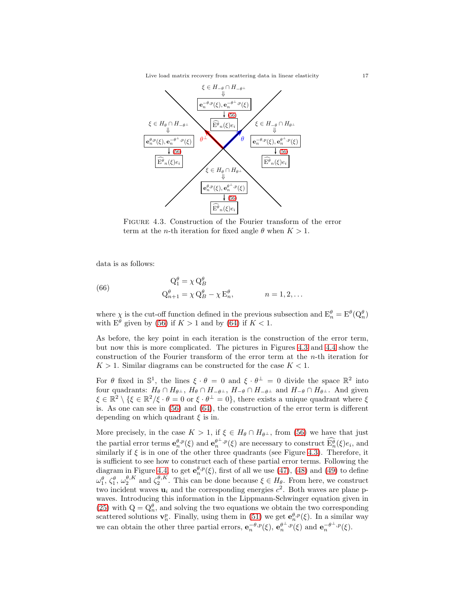Live load matrix recovery from scattering data in linear elasticity 17



<span id="page-16-0"></span>Figure 4.3. Construction of the Fourier transform of the error term at the *n*-th iteration for fixed angle  $\theta$  when  $K > 1$ .

data is as follows:

(66) 
$$
Q_1^{\theta} = \chi Q_B^{\theta}
$$

$$
Q_{n+1}^{\theta} = \chi Q_B^{\theta} - \chi E_n^{\theta}, \qquad n = 1, 2, ...
$$

where  $\chi$  is the cut-off function defined in the previous subsection and  $E_n^{\theta} = E^{\theta}(Q_n^{\theta})$ with  $E^{\theta}$  given by [\(56\)](#page-12-6) if  $K > 1$  and by [\(64\)](#page-13-7) if  $K < 1$ .

As before, the key point in each iteration is the construction of the error term, but now this is more complicated. The pictures in Figures [4.3](#page-16-0) and [4.4](#page-17-1) show the construction of the Fourier transform of the error term at the n-th iteration for  $K > 1$ . Similar diagrams can be constructed for the case  $K < 1$ .

For  $\theta$  fixed in  $\mathbb{S}^1$ , the lines  $\xi \cdot \theta = 0$  and  $\xi \cdot \theta^{\perp} = 0$  divide the space  $\mathbb{R}^2$  into four quadrants:  $H_{\theta} \cap H_{\theta^{\perp}}$ ,  $H_{\theta} \cap H_{-\theta^{\perp}}$ ,  $H_{-\theta} \cap H_{-\theta^{\perp}}$  and  $H_{-\theta} \cap H_{\theta^{\perp}}$ . And given  $\xi \in \mathbb{R}^2 \setminus \{ \xi \in \mathbb{R}^2 / \xi \cdot \theta = 0 \text{ or } \xi \cdot \theta^{\perp} = 0 \},\$  there exists a unique quadrant where  $\xi$ is. As one can see in [\(56\)](#page-12-6) and [\(64\)](#page-13-7), the construction of the error term is different depending on which quadrant  $\xi$  is in.

More precisely, in the case  $K > 1$ , if  $\xi \in H_\theta \cap H_{\theta^{\perp}}$ , from [\(56\)](#page-12-6) we have that just the partial error terms  $e_n^{\theta,p}(\xi)$  and  $e_n^{\theta^{\perp,p}(\xi)}$  are necessary to construct  $\widehat{E_n^{\theta}}(\xi)e_i$ , and similarly if  $\xi$  is in one of the other three quadrants (see Figure [4.3\)](#page-16-0). Therefore, it is sufficient to see how to construct each of these partial error terms. Following the diagram in Figure [4.4,](#page-17-1) to get  $e_n^{\theta,p}(\xi)$ , first of all we use [\(47\)](#page-10-2), [\(48\)](#page-10-3) and [\(49\)](#page-10-1) to define  $\omega_1^{\theta}$ ,  $\zeta_2^{\theta}$ ,  $\omega_2^{\theta,K}$  and  $\zeta_2^{\theta,K}$ . This can be done because  $\xi \in H_{\theta}$ . From here, we construct two incident waves  $\mathbf{u}_i$  and the corresponding energies  $c^2$ . Both waves are plane pwaves. Introducing this information in the Lippmann-Schwinger equation given in [\(25\)](#page-6-3) with  $Q = Q_n^{\theta}$ , and solving the two equations we obtain the two corresponding scattered solutions  $\mathbf{v}_n^p$ . Finally, using them in [\(51\)](#page-10-5) we get  $\mathbf{e}_n^{\theta,p}(\xi)$ . In a similar way we can obtain the other three partial errors,  $e_n^{-\theta,p}(\xi)$ ,  $e_n^{\theta^{\perp},p}(\xi)$  and  $e_n^{-\theta^{\perp},p}(\xi)$ .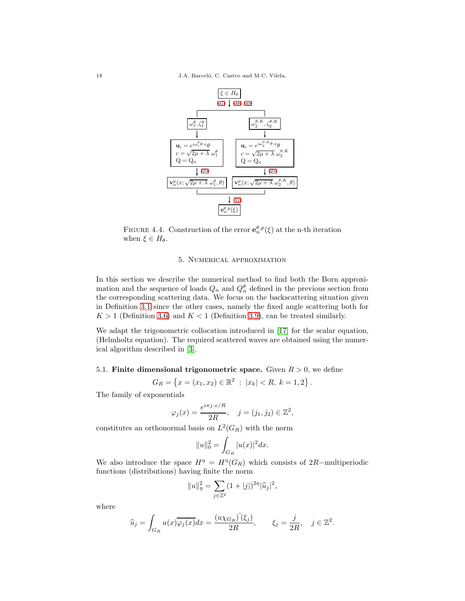

FIGURE 4.4. Construction of the error  $e_n^{\theta, p}(\xi)$  at the n-th iteration when  $\xi \in H_{\theta}$ .

### <span id="page-17-1"></span>5. Numerical approximation

<span id="page-17-0"></span>In this section we describe the numerical method to find both the Born approximation and the sequence of loads  $Q_n$  and  $Q_n^{\theta}$  defined in the previous section from the corresponding scattering data. We focus on the backscattering situation given in Definition [3.1](#page-8-0) since the other cases, namely the fixed angle scattering both for  $K > 1$  (Definition [3.6\)](#page-12-0) and  $K < 1$  (Definition [3.9\)](#page-13-0), can be treated similarly.

We adapt the trigonometric collocation introduced in [\[17\]](#page-25-12) for the scalar equation, (Helmholtz equation). The required scattered waves are obtained using the numerical algorithm described in [\[3\]](#page-24-3).

# 5.1. Finite dimensional trigonometric space. Given  $R > 0$ , we define

$$
G_R = \{ x = (x_1, x_2) \in \mathbb{R}^2 : |x_k| < R, \ k = 1, 2 \} \, .
$$

The family of exponentials

$$
\varphi_j(x) = \frac{e^{i\pi j \cdot x/R}}{2R}, \quad j = (j_1, j_2) \in \mathbb{Z}^2,
$$

constitutes an orthonormal basis on  $L^2(G_R)$  with the norm

$$
||u||_0^2 = \int_{G_R} |u(x)|^2 dx.
$$

We also introduce the space  $H^{\eta} = H^{\eta}(G_R)$  which consists of 2R-multiperiodic functions (distributions) having finite the norm

$$
||u||_{\eta}^{2} = \sum_{j \in \mathbb{Z}^{2}} (1 + |j|)^{2\eta} |\widehat{u}_{j}|^{2},
$$

where

$$
\widehat{u}_j = \int_{G_R} u(x) \overline{\varphi_j(x)} dx = \frac{(u \chi_{G_R}) \widehat{(\xi_j)}}{2R}, \qquad \xi_j = \frac{j}{2R}, \quad j \in \mathbb{Z}^2.
$$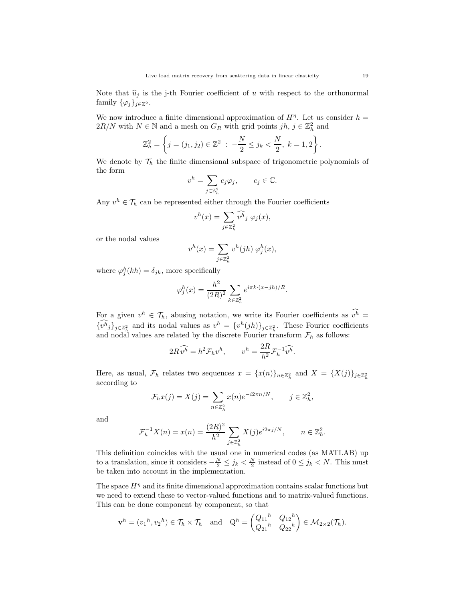Note that  $\hat{u}_j$  is the j-th Fourier coefficient of u with respect to the orthonormal family  $\{\varphi_j\}_{j\in\mathbb{Z}^2}$ .

We now introduce a finite dimensional approximation of  $H<sup>\eta</sup>$ . Let us consider  $h =$  $2R/N$  with  $N \in \mathbb{N}$  and a mesh on  $G_R$  with grid points  $jh, j \in \mathbb{Z}_h^2$  and

$$
\mathbb{Z}_h^2 = \left\{ j = (j_1, j_2) \in \mathbb{Z}^2 \; : \; -\frac{N}{2} \le j_k < \frac{N}{2}, \; k = 1, 2 \right\}.
$$

We denote by  $\mathcal{T}_h$  the finite dimensional subspace of trigonometric polynomials of the form

$$
v^h = \sum_{j \in \mathbb{Z}_h^2} c_j \varphi_j, \qquad c_j \in \mathbb{C}.
$$

Any  $v^h \in \mathcal{T}_h$  can be represented either through the Fourier coefficients

$$
v^{h}(x) = \sum_{j \in \mathbb{Z}_{h}^{2}} \widehat{v^{h}}_{j} \varphi_{j}(x),
$$

or the nodal values

$$
v^h(x)=\sum_{j\in\mathbb{Z}_h^2}v^h(jh)\;\varphi^h_j(x),
$$

where  $\varphi_j^h(kh) = \delta_{jk}$ , more specifically

$$
\varphi_j^h(x) = \frac{h^2}{(2R)^2} \sum_{k \in \mathbb{Z}_h^2} e^{i\pi k \cdot (x - jh)/R}.
$$

For a given  $v^h \in \mathcal{T}_h$ , abusing notation, we write its Fourier coefficients as  $v^h =$  ${v^h}_j$ <sub>j</sub> $\in \mathbb{Z}_h^2$  and its nodal values as  $v^h = {v^h}(jh)$ <sub>j $\in \mathbb{Z}_h^2$ </sub>. These Fourier coefficients and nodal values are related by the discrete Fourier transform  $\mathcal{F}_h$  as follows:

$$
2R\,\widehat{v^h} = h^2 \mathcal{F}_h v^h, \qquad v^h = \frac{2R}{h^2} \mathcal{F}_h^{-1} \widehat{v^h}.
$$

Here, as usual,  $\mathcal{F}_h$  relates two sequences  $x = \{x(n)\}_{n \in \mathbb{Z}_h^2}$  and  $X = \{X(j)\}_{j \in \mathbb{Z}_h^2}$ according to

$$
\mathcal{F}_h x(j) = X(j) = \sum_{n \in \mathbb{Z}_h^2} x(n) e^{-i2\pi n/N}, \qquad j \in \mathbb{Z}_h^2,
$$

and

$$
\mathcal{F}_h^{-1}X(n) = x(n) = \frac{(2R)^2}{h^2} \sum_{j \in \mathbb{Z}_h^2} X(j)e^{i2\pi j/N}, \qquad n \in \mathbb{Z}_h^2.
$$

This definition coincides with the usual one in numerical codes (as MATLAB) up to a translation, since it considers  $-\frac{N}{2} \le j_k < \frac{N}{2}$  instead of  $0 \le j_k < N$ . This must be taken into account in the implementation.

The space  $H^{\eta}$  and its finite dimensional approximation contains scalar functions but we need to extend these to vector-valued functions and to matrix-valued functions. This can be done component by component, so that

$$
\mathbf{v}^h = (v_1^h, v_2^h) \in \mathcal{T}_h \times \mathcal{T}_h \quad \text{and} \quad Q^h = \begin{pmatrix} Q_{11}^h & Q_{12}^h \\ Q_{21}^h & Q_{22}^h \end{pmatrix} \in \mathcal{M}_{2 \times 2}(\mathcal{T}_h).
$$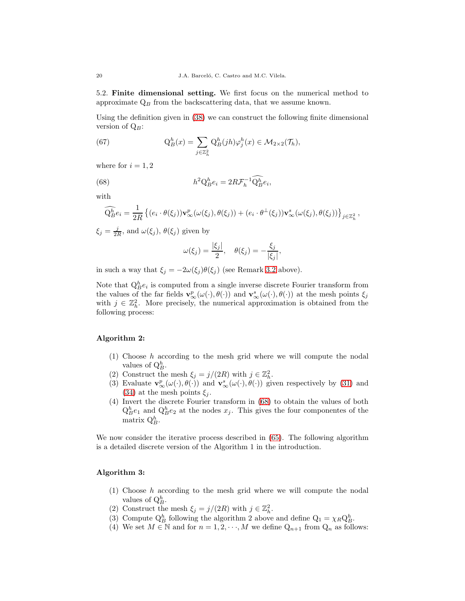5.2. Finite dimensional setting. We first focus on the numerical method to approximate  $Q_B$  from the backscattering data, that we assume known.

Using the definition given in [\(38\)](#page-8-8) we can construct the following finite dimensional version of  $Q_B$ :

<span id="page-19-1"></span>(67) 
$$
Q_B^h(x) = \sum_{j \in \mathbb{Z}_h^2} Q_B^h(jh)\varphi_j^h(x) \in \mathcal{M}_{2 \times 2}(\mathcal{T}_h),
$$

where for  $i = 1, 2$ 

(68) 
$$
h^2 Q_B^h e_i = 2R \mathcal{F}_h^{-1} \widehat{Q}_B^h e_i,
$$

with

$$
\widehat{\mathrm{Q}_{B}^{h}}e_{i} = \frac{1}{2R} \left\{ (e_{i} \cdot \theta(\xi_{j})) \mathbf{v}_{\infty}^{p}(\omega(\xi_{j}), \theta(\xi_{j})) + (e_{i} \cdot \theta^{\perp}(\xi_{j})) \mathbf{v}_{\infty}^{s}(\omega(\xi_{j}), \theta(\xi_{j})) \right\}_{j \in \mathbb{Z}_{h}^{2}},
$$

 $\xi_j = \frac{j}{2R}$ , and  $\omega(\xi_j)$ ,  $\theta(\xi_j)$  given by

<span id="page-19-0"></span>
$$
\omega(\xi_j) = \frac{|\xi_j|}{2}, \quad \theta(\xi_j) = -\frac{\xi_j}{|\xi_j|},
$$

in such a way that  $\xi_j = -2\omega(\xi_j)\theta(\xi_j)$  (see Remark [3.2](#page-8-10) above).

Note that  $Q_B^h e_i$  is computed from a single inverse discrete Fourier transform from the values of the far fields  $\mathbf{v}^p_{\infty}(\omega(\cdot), \theta(\cdot))$  and  $\mathbf{v}^s_{\infty}(\omega(\cdot), \theta(\cdot))$  at the mesh points  $\xi_j$ with  $j \in \mathbb{Z}_h^2$ . More precisely, the numerical approximation is obtained from the following process:

# Algorithm 2:

- (1) Choose h according to the mesh grid where we will compute the nodal values of  $Q_B^h$ .
- (2) Construct the mesh  $\xi_j = j/(2R)$  with  $j \in \mathbb{Z}_h^2$ .
- (3) Evaluate  $\mathbf{v}^p_{\infty}(\omega(\cdot), \theta(\cdot))$  and  $\mathbf{v}^s_{\infty}(\omega(\cdot), \theta(\cdot))$  given respectively by [\(31\)](#page-7-7) and [\(34\)](#page-8-4) at the mesh points  $\xi_i$ .
- (4) Invert the discrete Fourier transform in [\(68\)](#page-19-0) to obtain the values of both  $Q_B^h e_1$  and  $Q_B^h e_2$  at the nodes  $x_j$ . This gives the four componentes of the matrix  $Q_B^h$ .

We now consider the iterative process described in  $(65)$ . The following algorithm is a detailed discrete version of the Algorithm 1 in the introduction.

# Algorithm 3:

- (1) Choose h according to the mesh grid where we will compute the nodal values of  $Q_B^h$ .
- (2) Construct the mesh  $\xi_j = j/(2R)$  with  $j \in \mathbb{Z}_h^2$ .
- (3) Compute  $Q_B^h$  following the algorithm 2 above and define  $Q_1 = \chi_R Q_B^h$ .
- (4) We set  $M \in \mathbb{N}$  and for  $n = 1, 2, \dots, M$  we define  $Q_{n+1}$  from  $Q_n$  as follows: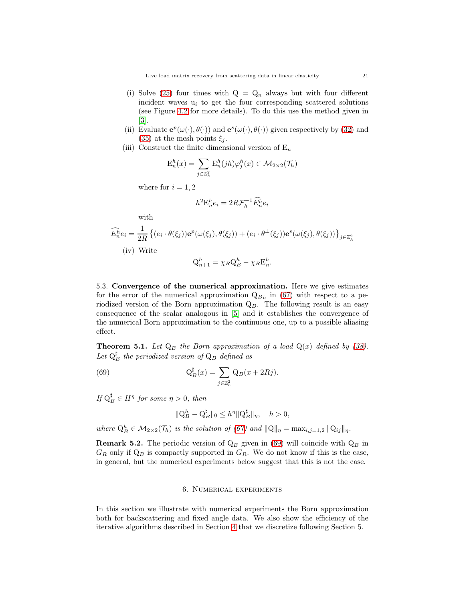Live load matrix recovery from scattering data in linear elasticity 21

- (i) Solve [\(25\)](#page-6-3) four times with  $Q = Q_n$  always but with four different incident waves  $u_i$  to get the four corresponding scattered solutions (see Figure [4.2](#page-15-0) for more details). To do this use the method given in [\[3\]](#page-24-3).
- (ii) Evaluate  $\mathbf{e}^p(\omega(\cdot), \theta(\cdot))$  and  $\mathbf{e}^s(\omega(\cdot), \theta(\cdot))$  given respectively by [\(32\)](#page-7-6) and [\(35\)](#page-8-3) at the mesh points  $\xi_j$ .
- (iii) Construct the finite dimensional version of  $E_n$

$$
E_n^h(x) = \sum_{j \in \mathbb{Z}_h^2} E_n^h(jh)\varphi_j^h(x) \in \mathcal{M}_{2 \times 2}(\mathcal{T}_h)
$$

where for  $i = 1, 2$ 

$$
h^2 \mathcal{E}_n^h e_i = 2R \mathcal{F}_h^{-1} \widehat{\mathcal{E}_n^h} e_i
$$

with

$$
\widehat{E}_n^h e_i = \frac{1}{2R} \left\{ (e_i \cdot \theta(\xi_j)) \mathbf{e}^p(\omega(\xi_j), \theta(\xi_j)) + (e_i \cdot \theta^\perp(\xi_j)) \mathbf{e}^s(\omega(\xi_j), \theta(\xi_j)) \right\}_{j \in \mathbb{Z}_h^2}
$$
\n(iv) Write\n
$$
Q_{n+1}^h = \chi_R Q_B^h - \chi_R E_n^h.
$$

5.3. Convergence of the numerical approximation. Here we give estimates for the error of the numerical approximation  $\mathbf{Q}_{Bh}$  in [\(67\)](#page-19-1) with respect to a periodized version of the Born approximation  $Q_B$ . The following result is an easy consequence of the scalar analogous in [\[5\]](#page-25-10) and it establishes the convergence of the numerical Born approximation to the continuous one, up to a possible aliasing effect.

**Theorem 5.1.** Let  $Q_B$  the Born approximation of a load  $Q(x)$  defined by [\(38\)](#page-8-8). Let  $\mathcal{Q}_B^{\sharp}$  the periodized version of  $\mathcal{Q}_B$  defined as

(69) 
$$
\mathcal{Q}_B^{\sharp}(x) = \sum_{j \in \mathbb{Z}_h^2} \mathcal{Q}_B(x + 2Rj).
$$

If  $Q_B^{\sharp} \in H^{\eta}$  for some  $\eta > 0$ , then

<span id="page-20-1"></span>
$$
\|\mathbf{Q}_{B}^{h} - \mathbf{Q}_{B}^{\sharp}\|_{0} \leq h^{\eta} \|\mathbf{Q}_{B}^{\sharp}\|_{\eta}, \quad h > 0,
$$

where  $Q_B^h \in \mathcal{M}_{2\times 2}(\mathcal{T}_h)$  is the solution of [\(67\)](#page-19-1) and  $||Q||_{\eta} = \max_{i,j=1,2} ||Q_{ij}||_{\eta}$ .

<span id="page-20-0"></span>**Remark 5.2.** The periodic version of  $Q_B$  given in [\(69\)](#page-20-1) will coincide with  $Q_B$  in  $G_R$  only if  $Q_B$  is compactly supported in  $G_R$ . We do not know if this is the case, in general, but the numerical experiments below suggest that this is not the case.

## 6. Numerical experiments

In this section we illustrate with numerical experiments the Born approximation both for backscattering and fixed angle data. We also show the efficiency of the iterative algorithms described in Section [4](#page-14-2) that we discretize following Section 5.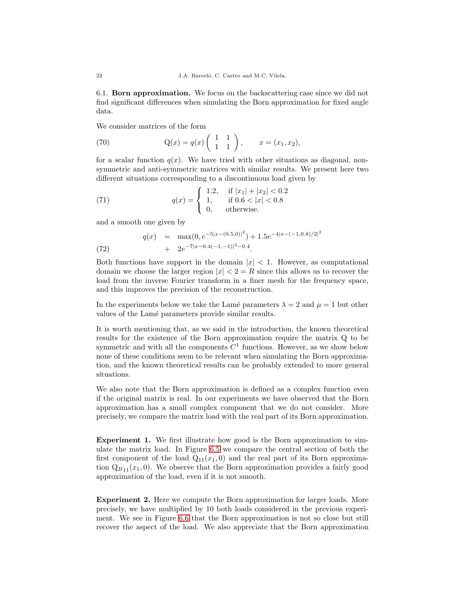6.1. Born approximation. We focus on the backscattering case since we did not find significant differences when simulating the Born approximation for fixed angle data.

We consider matrices of the form

<span id="page-21-0"></span>(70) 
$$
Q(x) = q(x) \begin{pmatrix} 1 & 1 \\ 1 & 1 \end{pmatrix}, \quad x = (x_1, x_2),
$$

for a scalar function  $q(x)$ . We have tried with other situations as diagonal, nonsymmetric and anti-symmetric matrices with similar results. We present here two different situations corresponding to a discontinuous load given by

<span id="page-21-2"></span>(71) 
$$
q(x) = \begin{cases} 1.2, & \text{if } |x_1| + |x_2| < 0.2 \\ 1, & \text{if } 0.6 < |x| < 0.8 \\ 0, & \text{otherwise.} \end{cases}
$$

and a smooth one given by

<span id="page-21-1"></span>(72) 
$$
q(x) = \max(0, e^{-5|x - (0.5,0)|^2}) + 1.5e^{-4|x - (-1,0.8)/2|^2}
$$

$$
+ 2e^{-7|x - 0.4(-1,-1)|^2 - 0.4}.
$$

Both functions have support in the domain  $|x| < 1$ . However, as computational domain we choose the larger region  $|x| < 2 = R$  since this allows us to recover the load from the inverse Fourier transform in a finer mesh for the frequency space, and this improves the precision of the reconstruction.

In the experiments below we take the Lamé parameters  $\lambda = 2$  and  $\mu = 1$  but other values of the Lamé parameters provide similar results.

It is worth mentioning that, as we said in the introduction, the known theoretical results for the existence of the Born approximation require the matrix Q to be symmetric and with all the components  $C<sup>1</sup>$  functions. However, as we show below none of these conditions seem to be relevant when simulating the Born approximation, and the known theoretical results can be probably extended to more general situations.

We also note that the Born approximation is defined as a complex function even if the original matrix is real. In our experiments we have observed that the Born approximation has a small complex component that we do not consider. More precisely, we compare the matrix load with the real part of its Born approximation.

Experiment 1. We first illustrate how good is the Born approximation to simulate the matrix load. In Figure [6.5](#page-22-0) we compare the central section of both the first component of the load  $Q_{11}(x_1, 0)$  and the real part of its Born approximation  $Q_{B11}(x_1, 0)$ . We observe that the Born approximation provides a fairly good approximation of the load, even if it is not smooth.

Experiment 2. Here we compute the Born approximation for larger loads. More precisely, we have multiplied by 10 both loads considered in the previous experiment. We see in Figure [6.6](#page-22-1) that the Born approximation is not so close but still recover the aspect of the load. We also appreciate that the Born approximation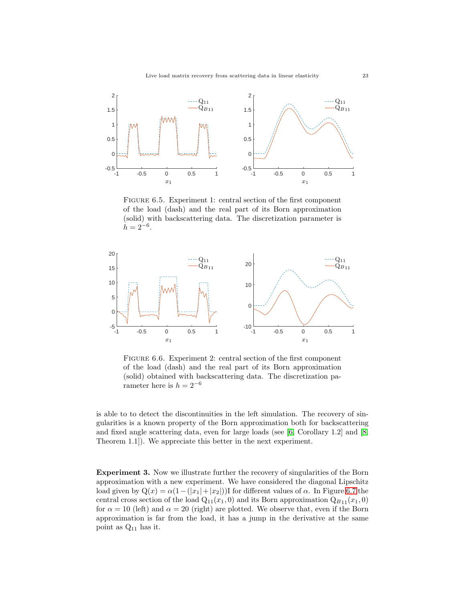

<span id="page-22-0"></span>FIGURE 6.5. Experiment 1: central section of the first component of the load (dash) and the real part of its Born approximation (solid) with backscattering data. The discretization parameter is  $h = 2^{-6}.$ 



<span id="page-22-1"></span>FIGURE 6.6. Experiment 2: central section of the first component of the load (dash) and the real part of its Born approximation (solid) obtained with backscattering data. The discretization parameter here is  $h = 2^{-6}$ 

is able to to detect the discontinuities in the left simulation. The recovery of singularities is a known property of the Born approximation both for backscattering and fixed angle scattering data, even for large loads (see [\[6,](#page-25-3) Corollary 1.2] and [\[8,](#page-25-4) Theorem 1.1]). We appreciate this better in the next experiment.

Experiment 3. Now we illustrate further the recovery of singularities of the Born approximation with a new experiment. We have considered the diagonal Lipschitz load given by  $Q(x) = \alpha(1-(|x_1|+|x_2|))$ I for different values of  $\alpha$ . In Figure [6.7](#page-23-0) the central cross section of the load  $Q_{11}(x_1, 0)$  and its Born approximation  $Q_{B11}(x_1, 0)$ for  $\alpha = 10$  (left) and  $\alpha = 20$  (right) are plotted. We observe that, even if the Born approximation is far from the load, it has a jump in the derivative at the same point as Q<sup>11</sup> has it.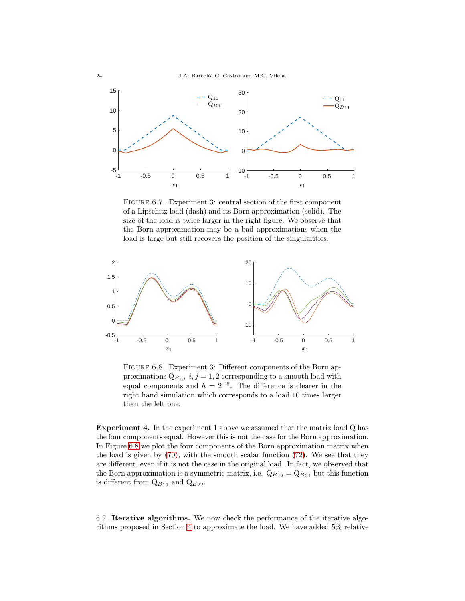

<span id="page-23-0"></span>FIGURE 6.7. Experiment 3: central section of the first component of a Lipschitz load (dash) and its Born approximation (solid). The size of the load is twice larger in the right figure. We observe that the Born approximation may be a bad approximations when the load is large but still recovers the position of the singularities.



<span id="page-23-1"></span>FIGURE 6.8. Experiment 3: Different components of the Born approximations  $Q_{Bij}$ ,  $i, j = 1, 2$  corresponding to a smooth load with equal components and  $h = 2^{-6}$ . The difference is clearer in the right hand simulation which corresponds to a load 10 times larger than the left one.

Experiment 4. In the experiment 1 above we assumed that the matrix load Q has the four components equal. However this is not the case for the Born approximation. In Figure [6.8](#page-23-1) we plot the four components of the Born approximation matrix when the load is given by [\(70\)](#page-21-0), with the smooth scalar function [\(72\)](#page-21-1). We see that they are different, even if it is not the case in the original load. In fact, we observed that the Born approximation is a symmetric matrix, i.e.  $Q_{B12} = Q_{B21}$  but this function is different from  $Q_{B11}$  and  $Q_{B22}$ .

6.2. Iterative algorithms. We now check the performance of the iterative algorithms proposed in Section [4](#page-14-2) to approximate the load. We have added 5% relative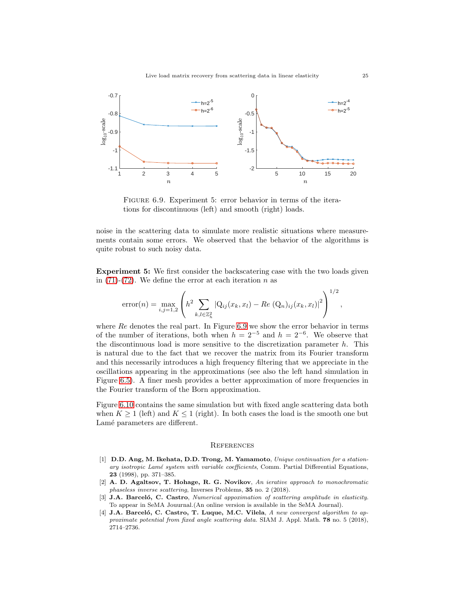

<span id="page-24-4"></span>FIGURE 6.9. Experiment 5: error behavior in terms of the iterations for discontinuous (left) and smooth (right) loads.

noise in the scattering data to simulate more realistic situations where measurements contain some errors. We observed that the behavior of the algorithms is quite robust to such noisy data.

Experiment 5: We first consider the backscatering case with the two loads given in  $(71)-(72)$  $(71)-(72)$ . We define the error at each iteration n as

error(n) = 
$$
\max_{i,j=1,2}
$$
  $\left( h^2 \sum_{k,l \in \mathbb{Z}_h^2} |Q_{ij}(x_k, x_l) - Re(Q_n)_{ij}(x_k, x_l)|^2 \right)^{1/2}$ ,

where  $Re$  denotes the real part. In Figure [6.9](#page-24-4) we show the error behavior in terms of the number of iterations, both when  $h = 2^{-5}$  and  $h = 2^{-6}$ . We observe that the discontinuous load is more sensitive to the discretization parameter  $h$ . This is natural due to the fact that we recover the matrix from its Fourier transform and this necessarily introduces a high frequency filtering that we appreciate in the oscillations appearing in the approximations (see also the left hand simulation in Figure [6.5\)](#page-22-0). A finer mesh provides a better approximation of more frequencies in the Fourier transform of the Born approximation.

Figure [6.10](#page-25-13) contains the same simulation but with fixed angle scattering data both when  $K \geq 1$  (left) and  $K \leq 1$  (right). In both cases the load is the smooth one but Lamé parameters are different.

#### **REFERENCES**

- <span id="page-24-0"></span>[1] D.D. Ang, M. Ikehata, D.D. Trong, M. Yamamoto, Unique continuation for a stationary isotropic Lamé system with variable coefficients, Comm. Partial Differential Equations, 23 (1998), pp. 371–385.
- <span id="page-24-1"></span>[2] A. D. Agaltsov, T. Hohage, R. G. Novikov, An ierative approach to monochromatic phaseless inverse scattering, Inverses Problems, 35 no. 2 (2018).
- <span id="page-24-3"></span>[3] J.A. Barceló, C. Castro, Numerical appoximation of scattering amplitude in elasticity. To appear in SeMA Jouurnal.(An online version is available in the SeMA Journal).
- <span id="page-24-2"></span>J.A. Barceló, C. Castro, T. Luque, M.C. Vilela, A new convergent algorithm to approximate potential from fixed angle scattering data. SIAM J. Appl. Math. 78 no. 5 (2018), 2714–2736.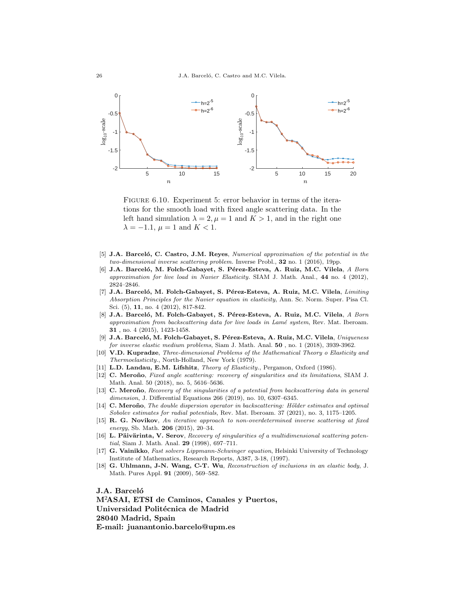26 J.A. Barceló, C. Castro and M.C. Vilela.



<span id="page-25-13"></span>FIGURE 6.10. Experiment 5: error behavior in terms of the iterations for the smooth load with fixed angle scattering data. In the left hand simulation  $\lambda = 2$ ,  $\mu = 1$  and  $K > 1$ , and in the right one  $\lambda = -1.1$ ,  $\mu = 1$  and  $K < 1$ .

- <span id="page-25-10"></span>[5] J.A. Barceló, C. Castro, J.M. Reyes, Numerical approximation of the potential in the two-dimensional inverse scattering problem. Inverse Probl., 32 no. 1 (2016), 19pp.
- <span id="page-25-3"></span>[6] J.A. Barceló, M. Folch-Gabayet, S. Pérez-Esteva, A. Ruiz, M.C. Vilela, A Born approximation for live load in Navier Elasticity. SIAM J. Math. Anal., 44 no. 4 (2012), 2824–2846.
- <span id="page-25-9"></span>[7] J.A. Barceló, M. Folch-Gabayet, S. Pérez-Esteva, A. Ruiz, M.C. Vilela, Limiting Absorption Principles for the Navier equation in elasticity, Ann. Sc. Norm. Super. Pisa Cl. Sci. (5), 11, no. 4 (2012), 817-842.
- <span id="page-25-4"></span>[8] J.A. Barceló, M. Folch-Gabayet, S. Pérez-Esteva, A. Ruiz, M.C. Vilela, A Born approximation from backscattering data for live loads in Lamé system, Rev. Mat. Iberoam. 31 , no. 4 (2015), 1423-1458.
- <span id="page-25-8"></span>[9] J.A. Barceló, M. Folch-Gabayet, S. Pérez-Esteva, A. Ruiz, M.C. Vilela, Uniqueness for inverse elastic medium problems, Siam J. Math. Anal. 50, no. 1 (2018), 3939-3962.
- <span id="page-25-7"></span>[10] V.D. Kupradze, Three-dimensional Problems of the Mathematical Theory o Elasticity and Thermoelasticity., North-Holland, New York (1979).
- <span id="page-25-5"></span><span id="page-25-0"></span>[11] L.D. Landau, E.M. Lifshitz, Theory of Elasticity., Pergamon, Oxford (1986).
- [12] C. Meroño, Fixed angle scattering: recovery of singularities and its limitations, SIAM J. Math. Anal. 50 (2018), no. 5, 5616–5636.
- [13] C. Meroño, Recovery of the singularities of a potential from backscattering data in general dimension, J. Differential Equations 266 (2019), no. 10, 6307–6345.
- <span id="page-25-6"></span>[14] C. Meroño, The double dispersion operator in backscattering: Hölder estimates and optimal Sobolev estimates for radial potentials, Rev. Mat. Iberoam. 37 (2021), no. 3, 1175–1205.
- <span id="page-25-11"></span>[15] R. G. Novikov, An iterative approach to non-overdetermined inverse scattering at fixed energy, Sb. Math.  $206$  (2015), 20–34.
- <span id="page-25-2"></span> $[16]$  L. Päivärinta, V. Serov, Recovery of singularities of a multidimensional scattering potential, Siam J. Math. Anal. 29 (1998), 697–711.
- <span id="page-25-12"></span>[17] G. Vainikko, Fast solvers Lippmann-Schwinger equation, Helsinki University of Technology Institute of Mathematics, Research Reports, A387, 3-18, (1997).
- <span id="page-25-1"></span>[18] G. Uhlmann, J-N. Wang, C-T. Wu, Reconstruction of inclusions in an elastic body, J. Math. Pures Appl. 91 (2009), 569–582.

J.A. Barceló M<sup>2</sup>ASAI, ETSI de Caminos, Canales y Puertos, Universidad Politécnica de Madrid 28040 Madrid, Spain E-mail: juanantonio.barcelo@upm.es